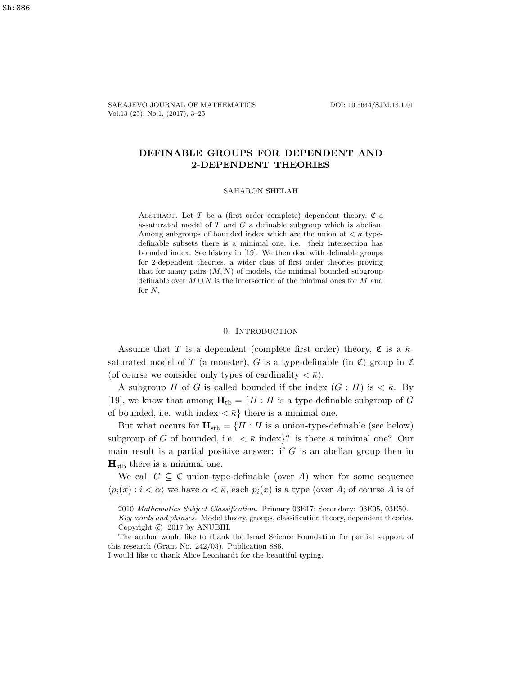SARAJEVO JOURNAL OF MATHEMATICS DOI: 10.5644/SJM.13.1.01 Vol.13 (25), No.1, (2017), 3–25

# DEFINABLE GROUPS FOR DEPENDENT AND 2-DEPENDENT THEORIES

## SAHARON SHELAH

ABSTRACT. Let T be a (first order complete) dependent theory,  $\mathfrak C$  a  $\bar{\kappa}$ -saturated model of T and G a definable subgroup which is abelian. Among subgroups of bounded index which are the union of  $\langle \bar{\kappa} \rangle$  typedefinable subsets there is a minimal one, i.e. their intersection has bounded index. See history in [19]. We then deal with definable groups for 2-dependent theories, a wider class of first order theories proving that for many pairs  $(M, N)$  of models, the minimal bounded subgroup definable over  $M \cup N$  is the intersection of the minimal ones for M and for N.

#### 0. Introduction

Assume that T is a dependent (complete first order) theory,  $\mathfrak C$  is a  $\bar \kappa$ saturated model of T (a monster), G is a type-definable (in  $\mathfrak{C}$ ) group in  $\mathfrak{C}$ (of course we consider only types of cardinality  $\langle \bar{\kappa} \rangle$ .

A subgroup H of G is called bounded if the index  $(G : H)$  is  $\lt \bar{\kappa}$ . By [19], we know that among  $\mathbf{H}_{\text{tb}} = \{H : H \text{ is a type-definable subgroup of } G\}$ of bounded, i.e. with index  $\langle \bar{\kappa} \rangle$  there is a minimal one.

But what occurs for  $\mathbf{H}_{\text{stb}} = \{H : H$  is a union-type-definable (see below) subgroup of G of bounded, i.e.  $\langle \bar{\kappa} \rangle$  index  $\hat{\gamma}$  is there a minimal one? Our main result is a partial positive answer: if  $G$  is an abelian group then in  $H_{\rm stb}$  there is a minimal one.

We call  $C \subseteq \mathfrak{C}$  union-type-definable (over A) when for some sequence  $\langle p_i(x) : i < \alpha \rangle$  we have  $\alpha < \bar{\kappa}$ , each  $p_i(x)$  is a type (over A; of course A is of

<sup>2010</sup> Mathematics Subject Classification. Primary 03E17; Secondary: 03E05, 03E50.

Key words and phrases. Model theory, groups, classification theory, dependent theories. Copyright  $\odot$  2017 by ANUBIH.

The author would like to thank the Israel Science Foundation for partial support of this research (Grant No. 242/03). Publication 886.

I would like to thank Alice Leonhardt for the beautiful typing.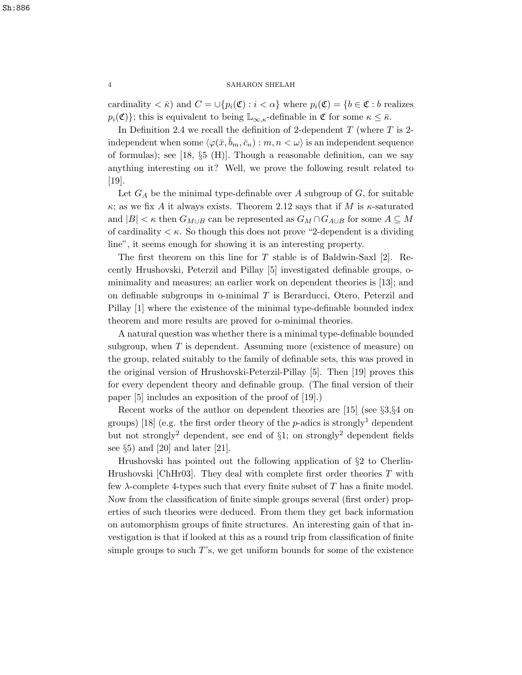cardinality  $\langle \overline{\kappa} \rangle$  and  $C = \bigcup \{ p_i(\mathfrak{C}) : i \langle \alpha \rangle \}$  where  $p_i(\mathfrak{C}) = \{ b \in \mathfrak{C} : b \text{ realizes } \}$  $p_i(\mathfrak{C})\}$ ; this is equivalent to being  $\mathbb{L}_{\infty,\kappa}$ -definable in  $\mathfrak{C}$  for some  $\kappa \leq \bar{\kappa}$ .

In Definition 2.4 we recall the definition of 2-dependent  $T$  (where  $T$  is 2independent when some  $\langle \varphi(\bar{x}, b_m, \bar{c}_n) : m, n \langle \omega \rangle$  is an independent sequence of formulas); see [18, §5 (H)]. Though a reasonable definition, can we say anything interesting on it? Well, we prove the following result related to [19].

Let  $G_A$  be the minimal type-definable over A subgroup of  $G$ , for suitable  $κ$ ; as we fix A it always exists. Theorem 2.12 says that if M is  $κ$ -saturated and  $|B| < \kappa$  then  $G_{M\cup B}$  can be represented as  $G_M \cap G_{A\cup B}$  for some  $A \subseteq M$ of cardinality  $\lt \kappa$ . So though this does not prove "2-dependent is a dividing line", it seems enough for showing it is an interesting property.

The first theorem on this line for T stable is of Baldwin-Saxl [2]. Recently Hrushovski, Peterzil and Pillay [5] investigated definable groups, ominimality and measures; an earlier work on dependent theories is [13]; and on definable subgroups in o-minimal  $T$  is Berarducci, Otero, Peterzil and Pillay [1] where the existence of the minimal type-definable bounded index theorem and more results are proved for o-minimal theories.

A natural question was whether there is a minimal type-definable bounded subgroup, when  $T$  is dependent. Assuming more (existence of measure) on the group, related suitably to the family of definable sets, this was proved in the original version of Hrushovski-Peterzil-Pillay [5]. Then [19] proves this for every dependent theory and definable group. (The final version of their paper [5] includes an exposition of the proof of [19].)

Recent works of the author on dependent theories are [15] (see §3,§4 on groups) [18] (e.g. the first order theory of the p-adics is strongly<sup>1</sup> dependent but not strongly<sup>2</sup> dependent, see end of  $\S1$ ; on strongly<sup>2</sup> dependent fields see  $\S5$ ) and [20] and later [21].

Hrushovski has pointed out the following application of §2 to Cherlin-Hrushovski [ChHr03]. They deal with complete first order theories T with few  $\lambda$ -complete 4-types such that every finite subset of T has a finite model. Now from the classification of finite simple groups several (first order) properties of such theories were deduced. From them they get back information on automorphism groups of finite structures. An interesting gain of that investigation is that if looked at this as a round trip from classification of finite simple groups to such  $T$ 's, we get uniform bounds for some of the existence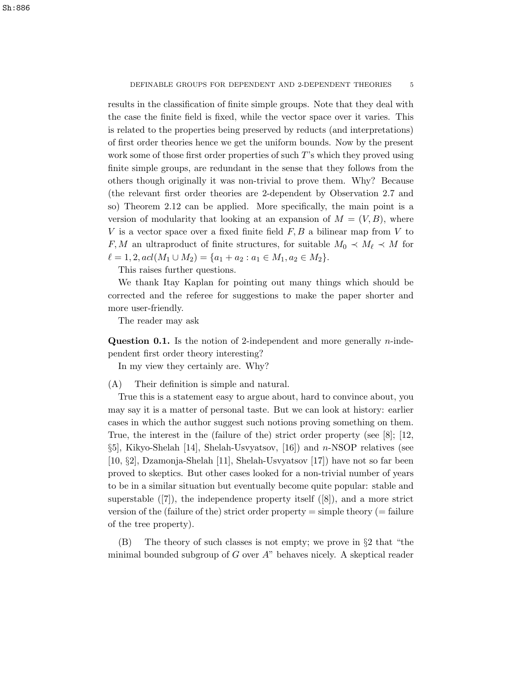results in the classification of finite simple groups. Note that they deal with the case the finite field is fixed, while the vector space over it varies. This is related to the properties being preserved by reducts (and interpretations) of first order theories hence we get the uniform bounds. Now by the present work some of those first order properties of such T's which they proved using finite simple groups, are redundant in the sense that they follows from the others though originally it was non-trivial to prove them. Why? Because (the relevant first order theories are 2-dependent by Observation 2.7 and so) Theorem 2.12 can be applied. More specifically, the main point is a version of modularity that looking at an expansion of  $M = (V, B)$ , where V is a vector space over a fixed finite field  $F, B$  a bilinear map from V to F, M an ultraproduct of finite structures, for suitable  $M_0 \prec M_\ell \prec M$  for  $\ell = 1, 2, \text{acl}(M_1 \cup M_2) = \{a_1 + a_2 : a_1 \in M_1, a_2 \in M_2\}.$ 

This raises further questions.

We thank Itay Kaplan for pointing out many things which should be corrected and the referee for suggestions to make the paper shorter and more user-friendly.

The reader may ask

**Question 0.1.** Is the notion of 2-independent and more generally  $n$ -independent first order theory interesting?

In my view they certainly are. Why?

(A) Their definition is simple and natural.

True this is a statement easy to argue about, hard to convince about, you may say it is a matter of personal taste. But we can look at history: earlier cases in which the author suggest such notions proving something on them. True, the interest in the (failure of the) strict order property (see [8]; [12, §5], Kikyo-Shelah [14], Shelah-Usvyatsov, [16]) and n-NSOP relatives (see [10, §2], Dzamonja-Shelah [11], Shelah-Usvyatsov [17]) have not so far been proved to skeptics. But other cases looked for a non-trivial number of years to be in a similar situation but eventually become quite popular: stable and superstable  $([7])$ , the independence property itself  $([8])$ , and a more strict version of the (failure of the) strict order property  $=$  simple theory  $(=$  failure of the tree property).

(B) The theory of such classes is not empty; we prove in  $\S 2$  that "the minimal bounded subgroup of  $G$  over  $A$ " behaves nicely. A skeptical reader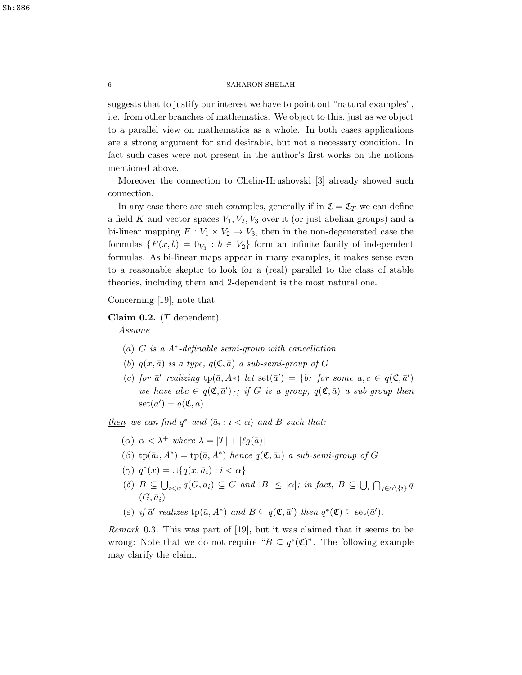suggests that to justify our interest we have to point out "natural examples", i.e. from other branches of mathematics. We object to this, just as we object to a parallel view on mathematics as a whole. In both cases applications are a strong argument for and desirable, but not a necessary condition. In fact such cases were not present in the author's first works on the notions mentioned above.

Moreover the connection to Chelin-Hrushovski [3] already showed such connection.

In any case there are such examples, generally if in  $\mathfrak{C} = \mathfrak{C}_T$  we can define a field K and vector spaces  $V_1, V_2, V_3$  over it (or just abelian groups) and a bi-linear mapping  $F: V_1 \times V_2 \to V_3$ , then in the non-degenerated case the formulas  $\{F(x, b) = 0_{V_3} : b \in V_2\}$  form an infinite family of independent formulas. As bi-linear maps appear in many examples, it makes sense even to a reasonable skeptic to look for a (real) parallel to the class of stable theories, including them and 2-dependent is the most natural one.

Concerning [19], note that

Claim 0.2.  $(T \text{ dependent})$ .

Assume

- (a) G is a A<sup>∗</sup> -definable semi-group with cancellation
- (b)  $q(x, \bar{a})$  is a type,  $q(\mathfrak{C}, \bar{a})$  a sub-semi-group of G
- (c) for  $\bar{a}'$  realizing  $tp(\bar{a}, A*)$  let  $set(\bar{a}') = \{b: \text{ for some } a, c \in q(\mathfrak{C}, \bar{a}')\}$ we have abc  $\in q(\mathfrak{C}, \bar{a}')$ ; if G is a group,  $q(\mathfrak{C}, \bar{a})$  a sub-group then  $\text{set}(\bar{a}') = q(\mathfrak{C}, \bar{a})$

 $then we can find q<sup>*</sup> and  $\langle \bar{a}_i : i < \alpha \rangle$  and B such that:$ </u>

- ( $\alpha$ )  $\alpha < \lambda^+$  where  $\lambda = |T| + |\ell q(\bar{a})|$
- ( $\beta$ ) tp( $\bar{a}_i$ ,  $A^*$ ) = tp( $\bar{a}$ ,  $A^*$ ) hence  $q(\mathfrak{C}, \bar{a}_i)$  a sub-semi-group of G
- ( $\gamma$ )  $q^*(x) = \bigcup \{ q(x, \bar{a}_i) : i < \alpha \}$
- (δ)  $B \subseteq \bigcup_{i < \alpha} q(G, \bar{a}_i) \subseteq G$  and  $|B| \leq |\alpha|$ ; in fact,  $B \subseteq \bigcup_i \bigcap_{j \in \alpha \setminus \{i\}} q$  $(G, \bar{a}_i)$
- (ε) if  $\bar{a}'$  realizes  $\text{tp}(\bar{a}, A^*)$  and  $B \subseteq q(\mathfrak{C}, \bar{a}')$  then  $q^*(\mathfrak{C}) \subseteq \text{set}(\bar{a}')$ .

Remark 0.3. This was part of [19], but it was claimed that it seems to be wrong: Note that we do not require " $B \subseteq q^*(\mathfrak{C})$ ". The following example may clarify the claim.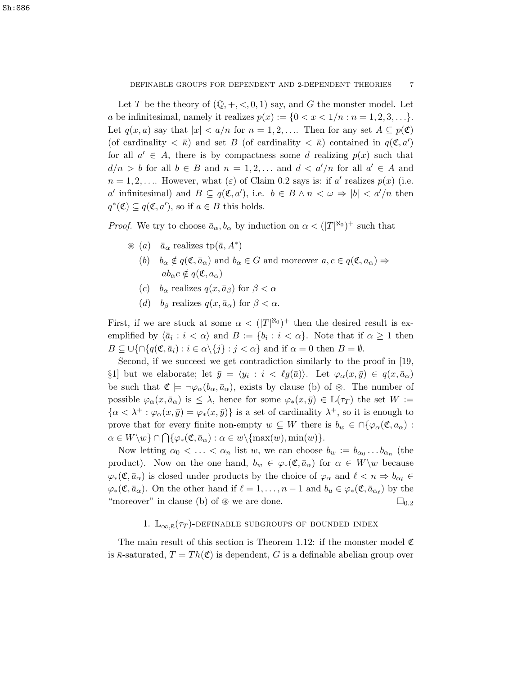Let T be the theory of  $(\mathbb{Q}, +, <, 0, 1)$  say, and G the monster model. Let a be infinitesimal, namely it realizes  $p(x) := \{0 < x < 1/n : n = 1, 2, 3, \ldots\}.$ Let  $q(x, a)$  say that  $|x| < a/n$  for  $n = 1, 2, \ldots$  Then for any set  $A \subseteq p(\mathfrak{C})$ (of cardinality  $\langle \bar{\kappa} \rangle$  and set B (of cardinality  $\langle \bar{\kappa} \rangle$ ) contained in  $q(\mathfrak{C}, a')$ for all  $a' \in A$ , there is by compactness some d realizing  $p(x)$  such that  $d/n > b$  for all  $b \in B$  and  $n = 1, 2, \ldots$  and  $d < a'/n$  for all  $a' \in A$  and  $n = 1, 2, \ldots$  However, what  $(\varepsilon)$  of Claim 0.2 says is: if a' realizes  $p(x)$  (i.e. a' infinitesimal) and  $B \subseteq q(\mathfrak{C}, a')$ , i.e.  $b \in B \land n < \omega \Rightarrow |b| < a'/n$  then  $q^*(\mathfrak{C}) \subseteq q(\mathfrak{C}, a')$ , so if  $a \in B$  this holds.

*Proof.* We try to choose  $\bar{a}_{\alpha}, b_{\alpha}$  by induction on  $\alpha < (|T|^{\aleph_0})^+$  such that

- $\circledast$  (*a*)  $\bar{a}_{\alpha}$  realizes tp( $\bar{a}$ ,  $A^*$ )
	- (b)  $b_{\alpha} \notin q(\mathfrak{C}, \bar{a}_{\alpha})$  and  $b_{\alpha} \in G$  and moreover  $a, c \in q(\mathfrak{C}, a_{\alpha}) \Rightarrow$  $ab_{\alpha}c \notin a(\mathfrak{C}, a_{\alpha})$
	- (c)  $b_{\alpha}$  realizes  $q(x, \bar{a}_{\beta})$  for  $\beta < \alpha$
	- (d) b<sub>β</sub> realizes  $q(x, \bar{a}_{\alpha})$  for  $\beta < \alpha$ .

First, if we are stuck at some  $\alpha < (|T|^{\aleph_0})^+$  then the desired result is exemplified by  $\langle \bar{a}_i : i < \alpha \rangle$  and  $B := \{b_i : i < \alpha\}$ . Note that if  $\alpha \geq 1$  then  $B \subseteq \bigcup \{ \bigcap \{ q(\mathfrak{C}, \bar{a}_i) : i \in \alpha \setminus \{j\} : j < \alpha \}$  and if  $\alpha = 0$  then  $B = \emptyset$ .

Second, if we succeed we get contradiction similarly to the proof in [19, §1] but we elaborate; let  $\bar{y} = \langle y_i : i \langle \text{g}(\bar{a}) \rangle$ . Let  $\varphi_\alpha(x, \bar{y}) \in q(x, \bar{a}_\alpha)$ be such that  $\mathfrak{C} \models \neg \varphi_\alpha(b_\alpha, \bar{a}_\alpha)$ , exists by clause (b) of  $\mathfrak{D}$ . The number of possible  $\varphi_\alpha(x, \bar a_\alpha)$  is  $\leq \lambda$ , hence for some  $\varphi_*(x, \bar y) \in \mathbb{L}(\tau_T)$  the set  $W :=$  $\{\alpha < \lambda^+ : \varphi_\alpha(x, \bar{y}) = \varphi_*(x, \bar{y})\}$  is a set of cardinality  $\lambda^+$ , so it is enough to prove that for every finite non-empty  $w \subseteq W$  there is  $b_w \in \bigcap \{\varphi_\alpha(\mathfrak{C}, a_\alpha) :$  $\alpha \in W \setminus w$   $\cap \bigcap {\varphi_*(\mathfrak{C}, \bar{a}_\alpha) : \alpha \in w \setminus {\max(w), \min(w)}.$ 

Now letting  $\alpha_0 < \ldots < \alpha_n$  list w, we can choose  $b_w := b_{\alpha_0} \ldots b_{\alpha_n}$  (the product). Now on the one hand,  $b_w \in \varphi_*(\mathfrak{C}, \bar{a}_\alpha)$  for  $\alpha \in W\backslash w$  because  $\varphi_*(\mathfrak{C}, \bar{a}_{\alpha})$  is closed under products by the choice of  $\varphi_{\alpha}$  and  $\ell < n \Rightarrow b_{\alpha_{\ell}} \in$  $\varphi_*(\mathfrak{C}, \bar{a}_{\alpha})$ . On the other hand if  $\ell = 1, \ldots, n - 1$  and  $b_u \in \varphi_*(\mathfrak{C}, \bar{a}_{\alpha_{\ell}})$  by the "moreover" in clause (b) of  $\otimes$  we are done.  $\square_{0.2}$ 

## 1.  $\mathbb{L}_{\infty,\bar{\kappa}}(\tau_T)$ -definable subgroups of bounded index

The main result of this section is Theorem 1.12: if the monster model  $\mathfrak C$ is  $\bar{\kappa}$ -saturated,  $T = Th(\mathfrak{C})$  is dependent, G is a definable abelian group over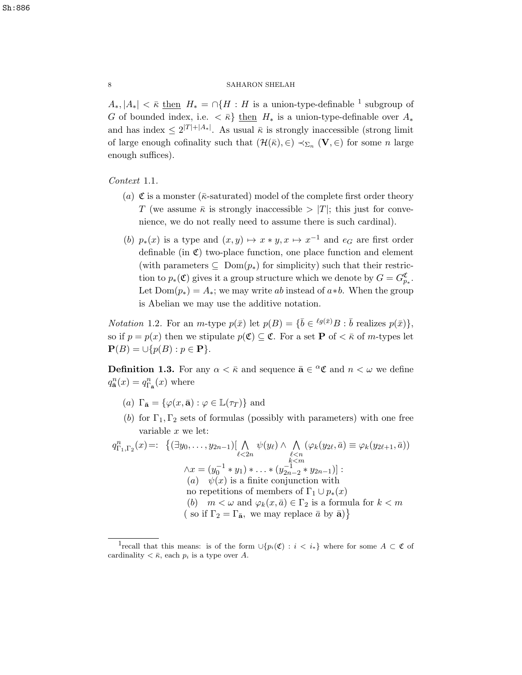$A_*, |A_*| < \bar{\kappa}$  then  $H_* = \cap \{H : H$  is a union-type-definable <sup>1</sup> subgroup of G of bounded index, i.e.  $\langle \bar{\kappa} \rangle$  then  $H_*$  is a union-type-definable over  $A_*$ and has index  $\leq 2^{|T|+|A_*|}$ . As usual  $\bar{\kappa}$  is strongly inaccessible (strong limit of large enough cofinality such that  $(\mathcal{H}(\bar{\kappa}), \in) \prec_{\Sigma_n} (\mathbf{V}, \in)$  for some n large enough suffices).

Context 1.1.

- (a)  $\mathfrak C$  is a monster ( $\bar \kappa$ -saturated) model of the complete first order theory T (we assume  $\bar{\kappa}$  is strongly inaccessible  $>|T|$ ; this just for convenience, we do not really need to assume there is such cardinal).
- (b)  $p_*(x)$  is a type and  $(x, y) \mapsto x * y, x \mapsto x^{-1}$  and  $e_G$  are first order definable (in  $\mathfrak{C}$ ) two-place function, one place function and element (with parameters  $\subseteq \text{Dom}(p_*)$  for simplicity) such that their restriction to  $p_*(\mathfrak{C})$  gives it a group structure which we denote by  $G = G_{p_*}^{\mathfrak{C}}$ . Let  $Dom(p_*) = A_*$ ; we may write ab instead of  $a * b$ . When the group is Abelian we may use the additive notation.

*Notation* 1.2. For an *m*-type  $p(\bar{x})$  let  $p(B) = {\bar{b} \in {}^{\ell g(\bar{x})}}B : \bar{b}$  realizes  $p(\bar{x})\},\$ so if  $p = p(x)$  then we stipulate  $p(\mathfrak{C}) \subseteq \mathfrak{C}$ . For a set **P** of  $\lt \bar{\kappa}$  of *m*-types let  $\mathbf{P}(B) = \cup \{p(B) : p \in \mathbf{P}\}.$ 

**Definition 1.3.** For any  $\alpha < \bar{\kappa}$  and sequence  $\bar{\mathbf{a}} \in \alpha \mathfrak{C}$  and  $n < \omega$  we define  $q_{\overline{\mathbf{a}}}^n(x) = q_{\Gamma_{\overline{\mathbf{a}}}}^n(x)$  where

- (a)  $\Gamma_{\bar{\mathbf{a}}} = {\varphi(x, \bar{\mathbf{a}}) : \varphi \in \mathbb{L}(\tau_T)}$  and
- (b) for  $\Gamma_1, \Gamma_2$  sets of formulas (possibly with parameters) with one free variable x we let:

$$
q_{\Gamma_1,\Gamma_2}^n(x) =: \{ (\exists y_0, \ldots, y_{2n-1}) [\bigwedge_{\ell < 2n} \psi(y_\ell) \land \bigwedge_{\ell < n} (\varphi_k(y_{2\ell}, \bar{a}) \equiv \varphi_k(y_{2\ell+1}, \bar{a}))
$$
\n
$$
\land x = (y_0^{-1} * y_1) * \ldots * (y_{2n-2}^{-1} * y_{2n-1})]:
$$
\n(a)  $\psi(x)$  is a finite conjunction with no repetitions of members of  $\Gamma_1 \cup p_*(x)$   
\n(b)  $m < \omega$  and  $\varphi_k(x, \bar{a}) \in \Gamma_2$  is a formula for  $k < m$   
\n(s) if  $\Gamma_2 = \Gamma_{\bar{a}}$ , we may replace  $\bar{a}$  by  $\bar{a}$ )\n

<sup>&</sup>lt;sup>1</sup>recall that this means: is of the form  $\cup \{p_i(\mathfrak{C}) : i \langle i_*\}$  where for some  $A \subset \mathfrak{C}$  of cardinality  $\langle \bar{\kappa}, \text{each } p_i \text{ is a type over } A.$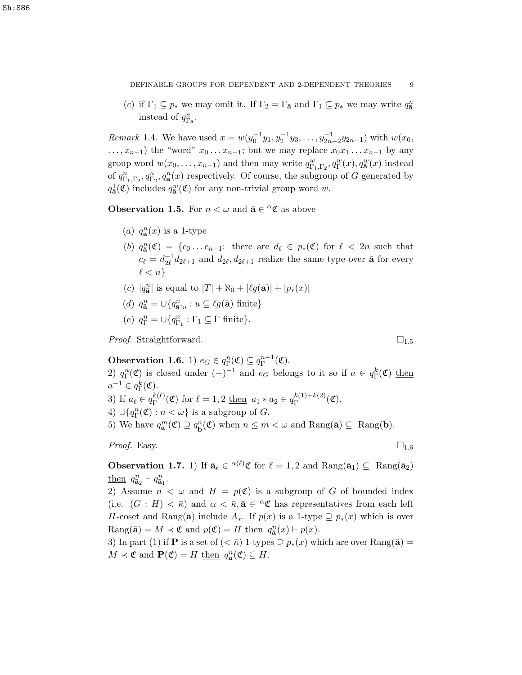(c) if  $\Gamma_1 \subseteq p_*$  we may omit it. If  $\Gamma_2 = \Gamma_{\bar{a}}$  and  $\Gamma_1 \subseteq p_*$  we may write  $q_{\bar{a}}^n$ instead of  $q_{\Gamma_{\bar{\mathbf{a}}}}^n$ .

*Remark* 1.4. We have used  $x = w(y_0^{-1}y_1, y_2^{-1}y_3, \dots, y_{2n-2}^{-1}y_{2n-1})$  with  $w(x_0,$  $\dots, x_{n-1}$ ) the "word"  $x_0 \dots x_{n-1}$ ; but we may replace  $x_0x_1 \dots x_{n-1}$  by any group word  $w(x_0, \ldots, x_{n-1})$  and then may write  $q_{\Gamma_1,\Gamma_2}^w, q_{\Gamma}^w(x), q_{\mathbf{a}}^w(x)$  instead of  $q_{\Gamma_1,\Gamma_2}^n, q_{\overline{\mathbf{a}}}^n(x)$  respectively. Of course, the subgroup of G generated by  $q_{\bar{\mathbf{a}}}^1(\mathfrak{C})$  includes  $q_{\bar{\mathbf{a}}}^w(\mathfrak{C})$  for any non-trivial group word w.

**Observation 1.5.** For  $n < \omega$  and  $\bar{a} \in {}^{\alpha} \mathfrak{C}$  as above

- (a)  $q_{\overline{\mathbf{a}}}^n(x)$  is a 1-type
- (b)  $q_{\mathbf{\bar{a}}}^n(\mathfrak{C}) = \{c_0 \ldots c_{n-1}: \text{ there are } d_\ell \in p_*(\mathfrak{C}) \text{ for } \ell < 2n \text{ such that }$  $c_{\ell} = d_{2\ell}^{-1}$  $\bar{2}\ell \, d_{2\ell+1}$  and  $d_{2\ell}, d_{2\ell+1}$  realize the same type over  $\bar{\mathbf{a}}$  for every  $\ell < n$
- (c)  $|q_{\bar{a}}^{n}|$  is equal to  $|T| + \aleph_0 + |\ell g(\bar{a})| + |p_*(x)|$
- (d)  $q_{\overline{\mathbf{a}}}^n = \bigcup \{ q_{\overline{\mathbf{a}}|u}^n : u \subseteq \ell g(\overline{\mathbf{a}}) \text{ finite} \}$
- (e)  $q_{\Gamma}^n = \bigcup \{q_{\Gamma_1}^n : \Gamma_1 \subseteq \Gamma \text{ finite}\}.$

*Proof.* Straightforward.  $\Box_{1.5}$ 

Observation 1.6. 1)  $e_G \in q_{\Gamma}^n(\mathfrak{C}) \subseteq q_{\Gamma}^{n+1}$  $\Gamma^{n+1}(\mathfrak{C}).$ 2)  $q_{\Gamma}^n(\mathfrak{C})$  is closed under  $(-)^{-1}$  and  $e_G$  belongs to it so if  $a \in q_{\Gamma}^k(\mathfrak{C})$  then  $a^{-1} \in q_{\Gamma}^k(\mathfrak{C}).$ 3) If  $a_{\ell} \in q_{\Gamma}^{k(\ell)}$  $f_{\Gamma}^{k(\ell)}(\mathfrak{C})$  for  $\ell = 1, 2$  <u>then</u>  $a_1 * a_2 \in q_{\Gamma}^{k(1) + k(2)}$  $\int_{\Gamma}^{\kappa(1)+\kappa(2)}(\mathfrak{C}).$ 4)  $\cup \{q_{\Gamma}^n(\mathfrak{C}) : n < \omega \}$  is a subgroup of G. 5) We have  $q_{\mathbf{\bar{a}}}^{m}(\mathfrak{C}) \supseteq q_{\mathbf{\bar{b}}}^{n}(\mathfrak{C})$  when  $n \leq m < \omega$  and  $\text{Rang}(\mathbf{\bar{a}}) \subseteq \text{Rang}(\mathbf{\bar{b}})$ .

*Proof.* Easy.  $\Box_{1.6}$ 

**Observation 1.7.** 1) If  $\bar{\mathbf{a}}_{\ell} \in {}^{\alpha(\ell)}\mathfrak{C}$  for  $\ell = 1, 2$  and  $\text{Rang}(\bar{\mathbf{a}}_1) \subseteq \text{Rang}(\bar{\mathbf{a}}_2)$ then  $q_{\bar{a}_2}^n \vdash q_{\bar{a}_1}^n$ .

2) Assume  $n < \omega$  and  $H = p(\mathfrak{C})$  is a subgroup of G of bounded index (i.e.  $(G : H) < \overline{\kappa}$ ) and  $\alpha < \overline{\kappa}$ ,  $\overline{a} \in {}^{\alpha} \mathfrak{C}$  has representatives from each left H-coset and Rang( $\bar{a}$ ) include  $A_*$ . If  $p(x)$  is a 1-type  $\supseteq p_*(x)$  which is over  $\text{Rang}(\bar{\mathbf{a}}) = M \prec \mathfrak{C} \text{ and } p(\mathfrak{C}) = H \underline{\text{ then }} q_{\bar{\mathbf{a}}}^n(x) \vdash p(x).$ 

3) In part (1) if **P** is a set of  $( $\overline{\kappa}$ )$  1-types  $\supseteq p_*(x)$  which are over Rang( $\overline{a}$ ) =  $M \prec \mathfrak{C}$  and  $\mathbf{P}(\mathfrak{C}) = H$  then  $q_{\overline{\mathbf{a}}}^n(\mathfrak{C}) \subseteq H$ .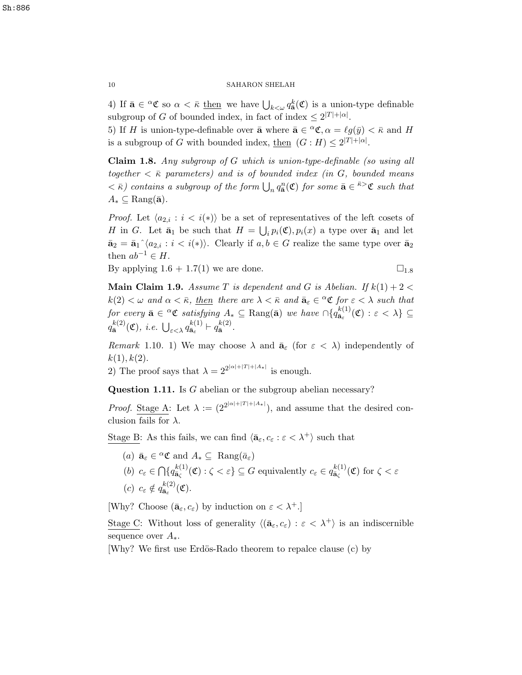4) If  $\bar{\mathbf{a}} \in \alpha \mathfrak{C}$  so  $\alpha < \bar{\kappa}$  then we have  $\bigcup_{k < \omega} q_{\bar{\mathbf{a}}}^k(\mathfrak{C})$  is a union-type definable subgroup of G of bounded index, in fact of index  $\leq 2^{|T|+|\alpha|}$ .

5) If H is union-type-definable over  $\bar{\mathbf{a}}$  where  $\bar{\mathbf{a}} \in {}^{\alpha} \mathfrak{C}, \alpha = \ell g(\bar{y}) < \bar{\kappa}$  and H is a subgroup of G with bounded index, <u>then</u>  $(G : H) \leq 2^{|T|+|\alpha|}$ .

Claim 1.8. Any subgroup of G which is union-type-definable (so using all together  $\langle \bar{\kappa} \rangle$  parameters) and is of bounded index (in G, bounded means  $<\bar{\kappa}$ ) contains a subgroup of the form  $\bigcup_n q_{\bar{a}}^n(\mathfrak{C})$  for some  $\bar{a} \in \bar{\kappa} > \mathfrak{C}$  such that  $A_* \subseteq \text{Rang}(\bar{a})$ .

*Proof.* Let  $\langle a_{2,i} : i \langle i \rangle \rangle$  be a set of representatives of the left cosets of H in G. Let  $\bar{\mathbf{a}}_1$  be such that  $H = \bigcup_i p_i(\mathfrak{C}), p_i(x)$  a type over  $\bar{\mathbf{a}}_1$  and let  $\bar{\mathbf{a}}_2 = \bar{\mathbf{a}}_1^{\hat{}} \langle a_{2,i} : i \langle i \rangle \rangle$ . Clearly if  $a, b \in G$  realize the same type over  $\bar{\mathbf{a}}_2$ then  $ab^{-1} \in H$ .

By applying  $1.6 + 1.7(1)$  we are done.  $\square_{1.8}$ 

**Main Claim 1.9.** Assume T is dependent and G is Abelian. If  $k(1) + 2 <$  $k(2) < \omega$  and  $\alpha < \bar{\kappa}$ , then there are  $\lambda < \bar{\kappa}$  and  $\bar{a}_{\varepsilon} \in {}^{\alpha} \mathfrak{C}$  for  $\varepsilon < \lambda$  such that for every  $\bar{\mathbf{a}} \in {}^{\alpha} \mathfrak{C}$  satisfying  $A_* \subseteq \text{Rang}(\bar{\mathbf{a}})$  we have  $\cap \{q_{\bar{\mathbf{a}}_*}^{k(1)}\}$  $\frac{\kappa(1)}{\bar{\mathbf{a}}_{\varepsilon}}(\mathfrak{C}) : \varepsilon < \lambda \} \subseteq$  $q_{\bar{\mathbf{a}}}^{k(2)}$  $\frac{k^{(2)}}{\tilde{\mathbf{a}}}(\mathfrak{C}),\ i.e.\ \bigcup_{\varepsilon<\lambda}q_{\tilde{\mathbf{a}}_{\varepsilon}}^{k(1)}$  $\frac{k(1)}{\bar{\mathbf{a}}_{{\varepsilon}}} \vdash q_{\bar{\mathbf{a}}}^{k(2)}$  $\frac{\kappa(z)}{\bar{\mathbf{a}}}$ .

Remark 1.10. 1) We may choose  $\lambda$  and  $\bar{a}_{\epsilon}$  (for  $\epsilon < \lambda$ ) independently of  $k(1), k(2).$ 

2) The proof says that  $\lambda = 2^{2^{|\alpha|+|T|+|A_*|}}$  is enough.

Question 1.11. Is G abelian or the subgroup abelian necessary?

*Proof.* Stage A: Let  $\lambda := (2^{2^{|\alpha|+|T|+|A_*|}})$ , and assume that the desired conclusion fails for  $\lambda$ .

Stage B: As this fails, we can find  $\langle \bar{\mathbf{a}}_{\varepsilon}, c_{\varepsilon} : \varepsilon < \lambda^+ \rangle$  such that

(a)  $\bar{\mathbf{a}}_{\varepsilon} \in {}^{\alpha} \mathfrak{C}$  and  $A_* \subseteq \text{Rang}(\bar{a}_{\varepsilon})$ (b)  $c_{\varepsilon} \in \bigcap \{q_{\bar{\mathbf{a}}_{\zeta}}^{k(1)}\}$  $a_{\bar{a}_{\zeta}}^{(k(1))}(\mathfrak{C}): \zeta < \varepsilon$  G equivalently  $c_{\varepsilon} \in q_{\bar{a}_{\zeta}}^{(k(1))}$  $\frac{\kappa(1)}{\bar{\mathbf{a}}_{\zeta}}(\mathfrak{C})$  for  $\zeta < \varepsilon$ (c)  $c_{\varepsilon} \notin q_{\bar{\mathbf{a}}_{\varepsilon}}^{k(2)}$  $\frac{\kappa(z)}{\bar{\mathbf{a}}_z}(\mathfrak{C}).$ 

[Why? Choose  $(\bar{\mathbf{a}}_{\varepsilon}, c_{\varepsilon})$  by induction on  $\varepsilon < \lambda^+$ .]

Stage C: Without loss of generality  $\langle (\bar{a}_{\varepsilon}, c_{\varepsilon}) : \varepsilon < \lambda^+ \rangle$  is an indiscernible sequence over  $A_*$ .

[Why? We first use Erdös-Rado theorem to repalce clause (c) by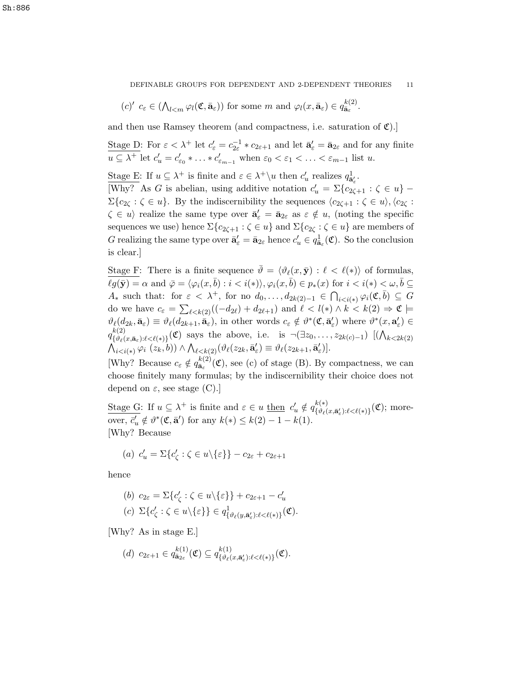DEFINABLE GROUPS FOR DEPENDENT AND 2-DEPENDENT THEORIES 11

$$
(c)'
$$
  $c_{\varepsilon} \in (\bigwedge_{l < m} \varphi_l(\mathfrak{C}, \bar{\mathbf{a}}_{\varepsilon}))$  for some  $m$  and  $\varphi_l(x, \bar{\mathbf{a}}_{\varepsilon}) \in q_{\bar{\mathbf{a}}_{\varepsilon}}^{k(2)}$ .

and then use Ramsey theorem (and compactness, i.e. saturation of  $\mathfrak{C}$ ).]

Stage D: For  $\varepsilon < \lambda^+$  let  $c'_{\varepsilon} = c_{2\varepsilon}^{-1} * c_{2\varepsilon+1}$  and let  $\bar{\mathbf{a}}'_{\varepsilon} = \bar{\mathbf{a}}_{2\varepsilon}$  and for any finite  $u \subseteq \lambda^+$  let  $c'_u = c'_{\varepsilon_0} * \ldots * c'_{\varepsilon_{m-1}}$  when  $\varepsilon_0 < \varepsilon_1 < \ldots < \varepsilon_{m-1}$  list u.

Stage E: If  $u \subseteq \lambda^+$  is finite and  $\varepsilon \in \lambda^+ \setminus u$  then  $c'_u$  realizes  $q_{\bar{a}'_e}^1$ .

[Why? As G is abelian, using additive notation  $c'_u = \sum {c_{2\zeta+1} : \zeta \in u}$  –  $\Sigma\{c_{2\zeta} : \zeta \in u\}$ . By the indiscernibility the sequences  $\langle c_{2\zeta+1} : \zeta \in u \rangle, \langle c_{2\zeta} :$  $\zeta \in u$  realize the same type over  $\bar{\mathbf{a}}'_{\varepsilon} = \bar{\mathbf{a}}_{2\varepsilon}$  as  $\varepsilon \notin u$ , (noting the specific sequences we use) hence  $\Sigma\{c_{2\zeta+1} : \zeta \in u\}$  and  $\Sigma\{c_{2\zeta} : \zeta \in u\}$  are members of G realizing the same type over  $\bar{\mathbf{a}}'_{\varepsilon} = \bar{\mathbf{a}}_{2\varepsilon}$  hence  $c'_{u} \in q_{\bar{\mathbf{a}}_{\varepsilon}}^1(\mathfrak{C})$ . So the conclusion is clear.]

Stage F: There is a finite sequence  $\bar{\vartheta} = \langle \vartheta_\ell(x, \bar{y}) : \ell < \ell(*) \rangle$  of formulas,  $\ell g(\bar{\mathbf{y}}) = \alpha$  and  $\bar{\varphi} = \langle \varphi_i(x, \bar{b}) : i < i(*) \rangle$ ,  $\varphi_i(x, \bar{b}) \in p_*(x)$  for  $i < i(*) < \omega, \bar{b} \subseteq$  $A_*$  such that: for  $\varepsilon < \lambda^+$ , for no  $d_0, \ldots, d_{2k(2)-1} \in \bigcap_{i \leq i(*)} \varphi_i(\mathfrak{C}, \overline{b}) \subseteq G$ do we have  $c_{\varepsilon} = \sum_{\ell \leq k(2)} ((-d_{2\ell}) + d_{2\ell+1})$  and  $\ell < l(*) \wedge k < k(2) \Rightarrow \mathfrak{C} \models$  $\vartheta_{\ell}(d_{2k}, \bar{\mathbf{a}}_{\varepsilon}) \equiv \vartheta_{\ell}(d_{2k+1}, \bar{\mathbf{a}}_{\varepsilon}),$  in other words  $c_{\varepsilon} \notin \vartheta^*(\mathfrak{C}, \bar{\mathbf{a}}'_{\varepsilon})$  where  $\vartheta^*(x, \mathbf{a}'_{\varepsilon}) \in$  $q_{\ell, q_{\ell}}^{k(2)}$  $\{S^{(2)}(x,\bar{\mathbf{a}}_{\varepsilon}): \ell \leq \ell(*)\}$  (C) says the above, i.e. is  $\neg(\exists z_0,\ldots,z_{2k(c)-1})$   $[(\bigwedge_{k \leq 2k(2)})$  $\bigwedge_{i < i(*)} \varphi_i \;(z_k, b)) \wedge \bigwedge_{\ell < k(2)} (\vartheta_\ell(z_{2k}, \bar{\mathbf{a}}'_\varepsilon) \equiv \vartheta_\ell(z_{2k+1}, \bar{\mathbf{a}}'_\varepsilon)].$ 

[Why? Because  $c_{\varepsilon} \notin q_{\bar{\mathbf{a}}_{\varepsilon}}^{k(2)}$  $\overline{\mathbf{a}}_{\epsilon}^{k(2)}(\mathfrak{C})$ , see (c) of stage (B). By compactness, we can choose finitely many formulas; by the indiscernibility their choice does not depend on  $\varepsilon$ , see stage (C).

Stage G: If  $u \subseteq \lambda^+$  is finite and  $\varepsilon \in u$  then  $c'_u \notin q_{\{\vartheta_\ell\}}^{k(*)}$  $\{\vartheta_\ell(x,\bar{\mathbf{a}}_\varepsilon'):\ell<\ell(*)\}(\mathfrak{C})$ ; moreover,  $\bar{c}'_u \notin \vartheta^*(\mathfrak{C}, \bar{\mathbf{a}}')$  for any  $k(*) \leq k(2) - 1 - k(1)$ . [Why? Because

(a) 
$$
c'_u = \Sigma \{c'_\zeta : \zeta \in u \setminus \{\varepsilon\}\} - c_{2\varepsilon} + c_{2\varepsilon+1}
$$

hence

$$
\begin{aligned} (b) \ c_{2\varepsilon} &= \Sigma \{c'_{\zeta} : \zeta \in u \setminus \{\varepsilon\}\} + c_{2\varepsilon+1} - c'_u \\ (c) \ \Sigma \{c'_{\zeta} : \zeta \in u \setminus \{\varepsilon\}\} &\in q^1_{\{\vartheta_\ell(y, \bar{\mathbf{a}}'_{\varepsilon}): \ell < \ell(*)\}}(\mathfrak{C}). \end{aligned}
$$

[Why? As in stage E.]

$$
(d) \ c_{2\varepsilon+1} \in q_{\bar{\mathbf{a}}_{2\varepsilon}}^{k(1)}(\mathfrak{C}) \subseteq q_{\{\vartheta_{\ell}(x,\bar{\mathbf{a}}'_{\varepsilon}): \ell < \ell(\ast)\}}^{k(1)}(\mathfrak{C}).
$$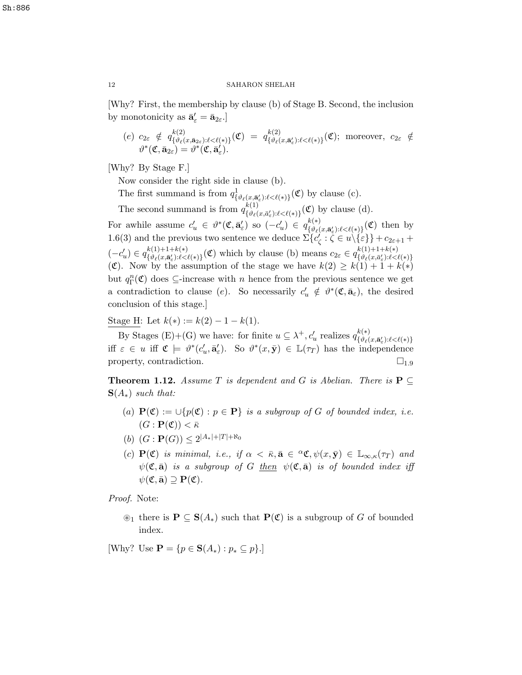[Why? First, the membership by clause (b) of Stage B. Second, the inclusion by monotonicity as  $\bar{\mathbf{a}}'_{\varepsilon} = \bar{\mathbf{a}}_{2\varepsilon}.$ 

(e) 
$$
c_{2\varepsilon} \notin q_{\{\vartheta_{\ell}(x,\bar{\mathbf{a}}_{2\varepsilon}): \ell < \ell(*)\}}^{k(2)}(\mathfrak{C}) = q_{\{\vartheta_{\ell}(x,\bar{\mathbf{a}}'_{\varepsilon}): \ell < \ell(*)\}}^{k(2)}(\mathfrak{C})
$$
; moreover,  $c_{2\varepsilon} \notin$   
 $\vartheta^*(\mathfrak{C}, \bar{\mathbf{a}}_{2\varepsilon}) = \vartheta^*(\mathfrak{C}, \bar{\mathbf{a}}'_{\varepsilon})$ .

[Why? By Stage F.]

Now consider the right side in clause (b).

The first summand is from  $q^1_{\{\vartheta_\ell(x,\bar{\mathbf{a}}'_\varepsilon):\ell<\ell(*)\}}(\mathfrak{C})$  by clause (c). ε

The second summand is from  $q_{\ell,\vartheta_{\ell}}^{k(1)}$  $\mathcal{L}^{k(1)}_{\{\vartheta_\ell(x,\bar{a}_\varepsilon'):\ell<\ell(*)\}}(\mathfrak{C})$  by clause (d).

For awhile assume  $c'_u \in \theta^*(\mathfrak{C}, \bar{\mathbf{a}}'_\varepsilon)$  so  $(-c'_u) \in q_{\{\theta_\ell\}}^{k(*)}$  $\mathcal{L}^{(\ast)}_{\{\vartheta_{\ell}(x,\bar{\mathbf{a}}'_{\varepsilon}): \ell < \ell(\ast)\}}(\mathfrak{C})$  then by 1.6(3) and the previous two sentence we deduce  $\Sigma\{\vec{c}_{\zeta}:\zeta\in\vec{u}\backslash\{\varepsilon\}\}+c_{2\varepsilon+1}+c_{2\varepsilon+2}$  $(-c'_u) \in q_{\{\vartheta_\ell(x,\bar{\mathbf{a}}'_\varepsilon): \ell \leq \ell\}}^{k(1)+1+k(*)}$  $k(1)+1+k(*)$ <br>{ $\vartheta_\ell(x,\bar{\mathbf{a}}'_\varepsilon):\ell<\ell(*)$ }(**C**) which by clause (b) means  $c_{2\varepsilon} \in q_{\{\vartheta_\ell(x,\bar{\mathbf{a}}'_\varepsilon):\ell<\ell\}}^{k(1)+1+k(*)}$  $\{\vartheta_{\ell}(x,\!\bar{a}'_{\varepsilon})\!\!:\!\!\ell\!<\!\ell(*)\}$ (C). Now by the assumption of the stage we have  $k(2) \geq k(1) + 1 + k(*)$ but  $q_{\Gamma}^{n}(\mathfrak{C})$  does  $\subseteq$ -increase with n hence from the previous sentence we get a contradiction to clause (e). So necessarily  $c'_u \notin \vartheta^*(\mathfrak{C}, \bar{\mathbf{a}}_{\varepsilon})$ , the desired conclusion of this stage.]

Stage H: Let  $k(*) := k(2) - 1 - k(1)$ .

By Stages (E)+(G) we have: for finite  $u \subseteq \lambda^+, c'_u$  realizes  $q_{\{\vartheta_i\}}^{k(*)}$  $\{\vartheta_{\ell}(x,\bar{\mathbf{a}}'_{\varepsilon}){:}\ell {<} \ell({*})\}$ iff  $\varepsilon \in u$  iff  $\mathfrak{C} \models \vartheta^*(c_u', \bar{\mathbf{a}}'_\varepsilon)$ . So  $\vartheta^*(x, \bar{\mathbf{y}}) \in \mathbb{L}(\tau_T)$  has the independence property, contradiction.  $\Box_{1.9}$ 

**Theorem 1.12.** Assume T is dependent and G is Abelian. There is  $P \subseteq$  $S(A_*)$  such that:

- (a)  $\mathbf{P}(\mathfrak{C}) := \bigcup \{p(\mathfrak{C}) : p \in \mathbf{P}\}\$ is a subgroup of G of bounded index, i.e.  $(G : \mathbf{P}(\mathfrak{C})) < \bar{\kappa}$
- (b)  $(G: \mathbf{P}(G)) \leq 2^{|A_*|+|T|+\aleph_0}$
- (c)  $P(\mathfrak{C})$  is minimal, i.e., if  $\alpha < \bar{\kappa}, \bar{\mathbf{a}} \in {}^{\alpha}\mathfrak{C}, \psi(x, \bar{y}) \in \mathbb{L}_{\infty,\kappa}(\tau_T)$  and  $\psi(\mathfrak{C},\bar{\mathbf{a}})$  is a subgroup of G then  $\psi(\mathfrak{C},\bar{\mathbf{a}})$  is of bounded index iff  $\psi(\mathfrak{C},\bar{\mathbf{a}})\supset\mathbf{P}(\mathfrak{C}).$

Proof. Note:

 $\mathfrak{D}_1$  there is  $\mathbf{P} \subseteq \mathbf{S}(A_*)$  such that  $\mathbf{P}(\mathfrak{C})$  is a subgroup of G of bounded index.

[Why? Use  $\mathbf{P} = \{p \in \mathbf{S}(A_*) : p_* \subseteq p\}.$ ]

Sh:886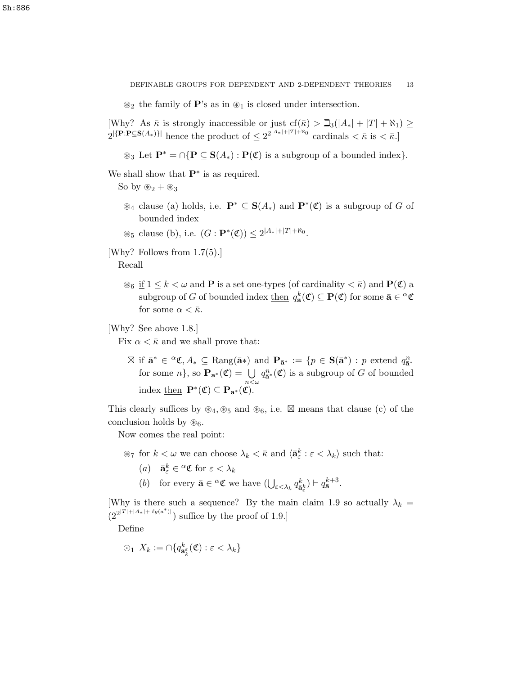$\otimes_2$  the family of **P**'s as in  $\otimes_1$  is closed under intersection.

[Why? As  $\bar{\kappa}$  is strongly inaccessible or just cf( $\bar{\kappa}$ ) >  $\Delta_3(|A_*| + |T| + \aleph_1) \ge$  $2^{|\{\mathbf{P}:\mathbf{P}\subseteq\mathbf{S}(A_*)\}|}$  hence the product of  $\leq 2^{2^{|A_*|+|T|+R_0}}$  cardinals  $\lt \bar{\kappa}$  is  $\lt \bar{\kappa}$ .

 $\circledast_3$  Let  $\mathbf{P}^* = \bigcap \{ \mathbf{P} \subseteq \mathbf{S}(A_*) : \mathbf{P}(\mathfrak{C}) \text{ is a subgroup of a bounded index} \}.$ 

We shall show that  $\mathbf{P}^*$  is as required.

So by  $\mathscr{L}_2 + \mathscr{L}_3$ 

- $\mathscr{B}_4$  clause (a) holds, i.e.  $\mathbf{P}^* \subseteq \mathbf{S}(A_*)$  and  $\mathbf{P}^*(\mathfrak{C})$  is a subgroup of G of bounded index
- $\otimes_5$  clause (b), i.e.  $(G : \mathbf{P}^*(\mathfrak{C})) \leq 2^{|A_*| + |T| + \aleph_0}$ .
- [Why? Follows from 1.7(5).]

Recall

 $\mathcal{B}_6$  if  $1 \leq k < \omega$  and **P** is a set one-types (of cardinality  $\lt \bar{\kappa}$ ) and **P**( $\mathfrak{C}$ ) a subgroup of G of bounded index  $\underline{\text{then}}\ q_{\bar{\mathbf{a}}}^k(\mathfrak{C})\subseteq \mathbf{P}(\mathfrak{C})$  for some  $\bar{\mathbf{a}} \in \alpha \mathfrak{C}$ for some  $\alpha < \bar{\kappa}$ .

## [Why? See above 1.8.]

Fix  $\alpha < \bar{\kappa}$  and we shall prove that:

 $\boxtimes$  if  $\bar{\mathbf{a}}^* \in {}^{\alpha} \mathfrak{C}, A_* \subseteq \text{Rang}(\bar{\mathbf{a}}^*)$  and  $\mathbf{P}_{\bar{\mathbf{a}}^*} := \{ p \in \mathbf{S}(\bar{\mathbf{a}}^*) : p \text{ extend } q^n_{\bar{\mathbf{a}}^*} \}$ for some  $n\}$ , so  $\mathbf{P}_{\mathbf{a}^*}(\mathfrak{C}) = \bigcup_{n < \omega}$  $q_{\bar{\mathbf{a}}^*}^n(\mathfrak{C})$  is a subgroup of G of bounded index  $\underline{\text{then}} \ \mathbf{P}^*(\mathfrak{C}) \subseteq \mathbf{P}_{\mathbf{a}^*}(\mathfrak{C}).$ 

This clearly suffices by  $\mathscr{B}_4, \mathscr{B}_5$  and  $\mathscr{B}_6$ , i.e.  $\boxtimes$  means that clause (c) of the conclusion holds by  $\mathcal{B}_6$ .

Now comes the real point:

- $\mathcal{F}_7$  for  $k < \omega$  we can choose  $\lambda_k < \bar{\kappa}$  and  $\langle \bar{\mathbf{a}}_{\varepsilon}^k : \varepsilon < \lambda_k \rangle$  such that:
	- (*a*)  $\bar{\mathbf{a}}_{\varepsilon}^k \in {}^{\alpha} \mathfrak{C}$  for  $\varepsilon < \lambda_k$
	- (b) for every  $\bar{\mathbf{a}} \in {}^{\alpha} \mathfrak{C}$  we have  $\left(\bigcup_{\varepsilon < \lambda_k} q_{\bar{\mathbf{a}}}^k\right)$  $\left(\frac{k}{\bar{\mathbf{a}}^k_{\varepsilon}}\right) \vdash q_{\bar{\mathbf{a}}}^{k+3}.$

[Why is there such a sequence? By the main claim 1.9 so actually  $\lambda_k =$  $(2^{2^{|T|+|A_*|+|\ell g(\bar{a}^*)|}})$  suffice by the proof of 1.9.]

Define

$$
\odot_1 \; X_k := \cap \{ q_{\bar{\mathbf{a}}_k}^k(\mathfrak{C}) : \varepsilon < \lambda_k \}
$$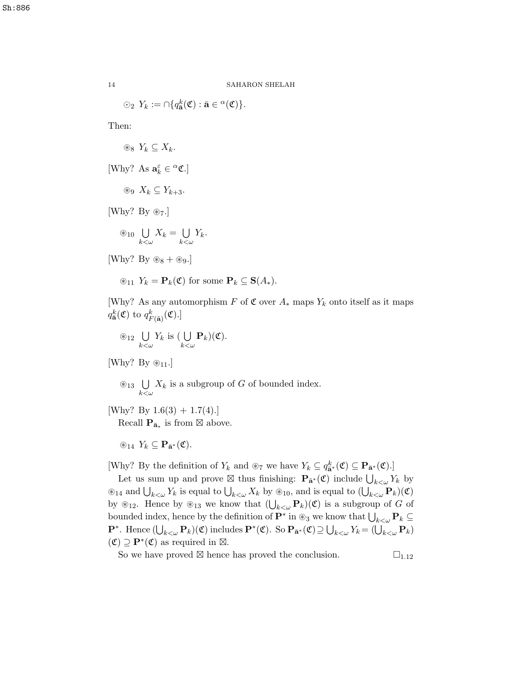$\odot_2 Y_k := \bigcap \{q_{\bar{\mathbf{a}}}^k(\mathfrak{C}) : \bar{\mathbf{a}} \in {}^{\alpha}(\mathfrak{C}) \}.$ 

Then:

 $\otimes_8 Y_k$  ⊂  $X_k$ .

[Why? As  $\mathbf{a}_k^\varepsilon \in {}^{\alpha}\mathfrak{C}.$ ]

 $\otimes$   $X_k$  ⊆  $Y_{k+3}$ .

[Why? By  $\otimes_7$ .]

$$
\circledast_{10} \bigcup_{k < \omega} X_k = \bigcup_{k < \omega} Y_k.
$$

[Why? By  $\otimes_8 + \otimes_9$ .]

$$
\circledast_{11} Y_k = \mathbf{P}_k(\mathfrak{C}) \text{ for some } \mathbf{P}_k \subseteq \mathbf{S}(A_*)
$$
.

[Why? As any automorphism F of  $\mathfrak C$  over  $A_*$  maps  $Y_k$  onto itself as it maps  $q_{\bar{\mathbf{a}}}^{k}(\mathfrak{C})$  to  $q_{F(\bar{\mathbf{a}})}^{k}(\mathfrak{C}).$ 

$$
\circledast_{12} \bigcup_{k < \omega} Y_k \text{ is } (\bigcup_{k < \omega} \mathbf{P}_k)(\mathfrak{C}).
$$

[Why? By  $\otimes_{11}$ .]

- $\otimes_{13}$  U  $_{k<\omega}$  $X_k$  is a subgroup of G of bounded index.
- [Why? By  $1.6(3) + 1.7(4)$ .] Recall  $\mathbf{P}_{\bar{\mathbf{a}}_*}$  is from  $\boxtimes$  above.

 $\circledast_{14} Y_k \subseteq \mathbf{P}_{\bar{\mathbf{a}}^*}(\mathfrak{C}).$ 

[Why? By the definition of  $Y_k$  and  $\otimes_7$  we have  $Y_k \subseteq q_{\mathbf{a}^*}^k(\mathfrak{C}) \subseteq \mathbf{P}_{\mathbf{a}^*}(\mathfrak{C})$ .]

Let us sum up and prove  $\boxtimes$  thus finishing:  $\mathbf{P}_{\bar{\mathbf{a}}^*}(\mathfrak{C})$  include  $\bigcup_{k<\omega} Y_k$  by  $\otimes_{14}$  and  $\bigcup_{k\leq\omega}Y_k$  is equal to  $\bigcup_{k\leq\omega}X_k$  by  $\otimes_{10}$ , and is equal to  $(\bigcup_{k\leq\omega}P_k)(\mathfrak{C})$ by  $\mathscr{E}_{12}$ . Hence by  $\mathscr{E}_{13}$  we know that  $(\bigcup_{k<\omega} \mathbf{P}_k)(\mathfrak{C})$  is a subgroup of G of bounded index, hence by the definition of  $\mathbf{P}^*$  in  $\otimes_3$  we know that  $\bigcup_{k\leq\omega}\mathbf{P}_k\subseteq$  $\mathbf{P}^*$ . Hence  $(\bigcup_{k<\omega}\mathbf{P}_k)(\mathfrak{C})$  includes  $\mathbf{P}^*(\mathfrak{C})$ . So  $\mathbf{P}_{\bar{\mathbf{a}}^*}(\mathfrak{C}) \supseteq \bigcup_{k<\omega} Y_k = (\bigcup_{k<\omega} \mathbf{P}_k)$  $(\mathfrak{C}) \supseteq \mathbf{P}^*(\mathfrak{C})$  as required in  $\boxtimes$ .

So we have proved  $\boxtimes$  hence has proved the conclusion.  $\square_{1.12}$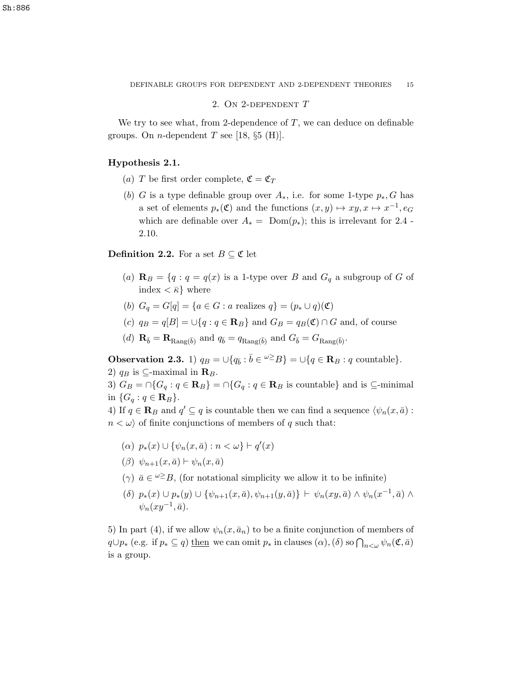2. On 2-dependent T

We try to see what, from 2-dependence of  $T$ , we can deduce on definable groups. On *n*-dependent T see [18,  $\S5$  (H)].

## Hypothesis 2.1.

- (a) T be first order complete,  $\mathfrak{C} = \mathfrak{C}_T$
- (b) G is a type definable group over  $A_*$ , i.e. for some 1-type  $p_*, G$  has a set of elements  $p_*(\mathfrak{C})$  and the functions  $(x, y) \mapsto xy, x \mapsto x^{-1}, e_G$ which are definable over  $A_* = \text{Dom}(p_*)$ ; this is irrelevant for 2.4 -2.10.

**Definition 2.2.** For a set  $B \subseteq \mathfrak{C}$  let

- (a)  $\mathbf{R}_B = \{q : q = q(x) \text{ is a 1-type over } B \text{ and } G_q \text{ a subgroup of } G \text{ of } \mathbf{R}_p\}$ index  $\langle \bar{\kappa} \rangle$  where
- (b)  $G_q = G[q] = \{a \in G : a \text{ realizes } q\} = (p_* \cup q)(\mathfrak{C})$
- (c)  $q_B = q[B] = \bigcup \{q : q \in \mathbb{R}\}\$ and  $G_B = q_B(\mathfrak{C}) \cap G$  and, of course
- (d)  $\mathbf{R}_{\bar{b}} = \mathbf{R}_{\text{Rang}(\bar{b})}$  and  $q_{\bar{b}} = q_{\text{Rang}(\bar{b})}$  and  $G_{\bar{b}} = G_{\text{Rang}(\bar{b})}$ .

**Observation 2.3.** 1)  $q_B = \bigcup \{ q_{\bar{b}} : \bar{b} \in {}^{\omega \geq} B \} = \bigcup \{ q \in \mathbf{R}_B : q \text{ countable} \}.$ 2)  $q_B$  is ⊆-maximal in  $\mathbf{R}_B$ .

3)  $G_B = \bigcap \{G_q : q \in \mathbf{R}_B\} = \bigcap \{G_q : q \in \mathbf{R}_B \text{ is countable}\}\$ and is  $\subseteq$ -minimal in  $\{G_q : q \in \mathbf{R}_B\}.$ 

4) If  $q \in \mathbf{R}_B$  and  $q' \subseteq q$  is countable then we can find a sequence  $\langle \psi_n(x, \bar{a}) :$  $n < \omega$  of finite conjunctions of members of q such that:

- (a)  $p_*(x) \cup \{\psi_n(x, \bar{a}) : n < \omega\} \vdash q'(x)$
- $(\beta) \psi_{n+1}(x, \bar{a}) \vdash \psi_n(x, \bar{a})$
- ( $\gamma$ )  $\bar{a} \in \omega \geq B$ , (for notational simplicity we allow it to be infinite)
- $(\delta)$   $p_*(x) \cup p_*(y) \cup \{\psi_{n+1}(x,\bar{a}), \psi_{n+1}(y,\bar{a})\}\vdash \psi_n(xy,\bar{a}) \wedge \psi_n(x^{-1},\bar{a}) \wedge$  $\psi_n(xy^{-1},\bar{a}).$

5) In part (4), if we allow  $\psi_n(x, \bar{a}_n)$  to be a finite conjunction of members of  $q\cup p_*$  (e.g. if  $p_* \subseteq q$ ) then we can omit  $p_*$  in clauses  $(\alpha)$ ,  $(\delta)$  so  $\bigcap_{n<\omega}\psi_n(\mathfrak{C},\bar{a})$ is a group.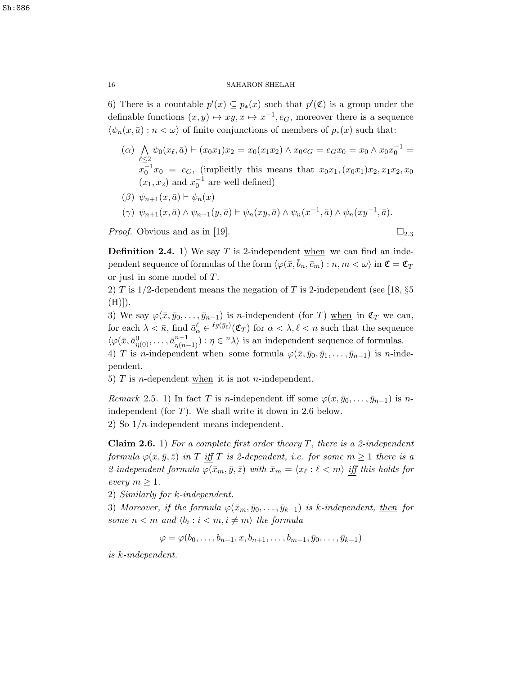6) There is a countable  $p'(x) \subseteq p_*(x)$  such that  $p'(\mathfrak{C})$  is a group under the definable functions  $(x, y) \mapsto xy, x \mapsto x^{-1}, e_G$ , moreover there is a sequence  $\langle \psi_n(x, \bar{a}) : n < \omega \rangle$  of finite conjunctions of members of  $p_*(x)$  such that:

 $(α)$   $\Lambda$  $\ell \leq 2$  $\psi_0(x_\ell, \bar{a}) \vdash (x_0 x_1) x_2 = x_0(x_1 x_2) \land x_0 e_G = e_G x_0 = x_0 \land x_0 x_0^{-1} =$  $x_0^{-1}x_0 = e_G$ , (implicitly this means that  $x_0x_1, (x_0x_1)x_2, x_1x_2, x_0$  $(x_1, x_2)$  and  $x_0^{-1}$  are well defined)

$$
(\beta) \ \psi_{n+1}(x,\bar{a}) \vdash \psi_n(x)
$$

 $(\gamma) \psi_{n+1}(x, \bar{a}) \wedge \psi_{n+1}(y, \bar{a}) \vdash \psi_n(xy, \bar{a}) \wedge \psi_n(x^{-1}, \bar{a}) \wedge \psi_n(xy^{-1}, \bar{a}).$ 

*Proof.* Obvious and as in [19].  $\square_{2.3}$ 

**Definition 2.4.** 1) We say T is 2-independent when we can find an independent sequence of formulas of the form  $\langle \varphi(\bar{x}, b_n, \bar{c}_m) : n, m \langle \omega \rangle$  in  $\mathfrak{C} = \mathfrak{C}_T$ or just in some model of T.

2) T is  $1/2$ -dependent means the negation of T is 2-independent (see [18,  $\S5$ )  $(H))$ .

3) We say  $\varphi(\bar{x}, \bar{y}_0, \ldots, \bar{y}_{n-1})$  is n-independent (for T) when in  $\mathfrak{C}_T$  we can, for each  $\lambda < \bar{\kappa}$ , find  $\bar{a}^{\ell}_{\alpha} \in {^{\ell g(\bar{y}_{\ell})}}(\mathfrak{C}_T)$  for  $\alpha < \lambda, \ell < n$  such that the sequence  $\langle \varphi(\bar{x}, \bar{a}_{\eta(0)}^0, \ldots, \bar{a}_{\eta(n-1)}^{n-1}) : \eta \in {}^n \lambda \rangle$  is an independent sequence of formulas.

4) T is n-independent when some formula  $\varphi(\bar{x}, \bar{y}_0, \bar{y}_1, \ldots, \bar{y}_{n-1})$  is n-independent.

5)  $T$  is *n*-dependent when it is not *n*-independent.

Remark 2.5. 1) In fact T is n-independent iff some  $\varphi(x, \bar{y}_0, \ldots, \bar{y}_{n-1})$  is nindependent (for  $T$ ). We shall write it down in 2.6 below. 2) So  $1/n$ -independent means independent.

**Claim 2.6.** 1) For a complete first order theory T, there is a 2-independent formula  $\varphi(x, \bar{y}, \bar{z})$  in T iff T is 2-dependent, i.e. for some  $m \geq 1$  there is a 2-independent formula  $\varphi(\bar{x}_m, \bar{y}, \bar{z})$  with  $\bar{x}_m = \langle x_\ell : \ell < m \rangle$  iff this holds for every  $m \geq 1$ .

2) Similarly for k-independent.

3) Moreover, if the formula  $\varphi(\bar{x}_m, \bar{y}_0, \ldots, \bar{y}_{k-1})$  is k-independent, then for some  $n < m$  and  $\langle b_i : i < m, i \neq m \rangle$  the formula

$$
\varphi = \varphi(b_0, \dots, b_{n-1}, x, b_{n+1}, \dots, b_{m-1}, \bar{y}_0, \dots, \bar{y}_{k-1})
$$

is k-independent.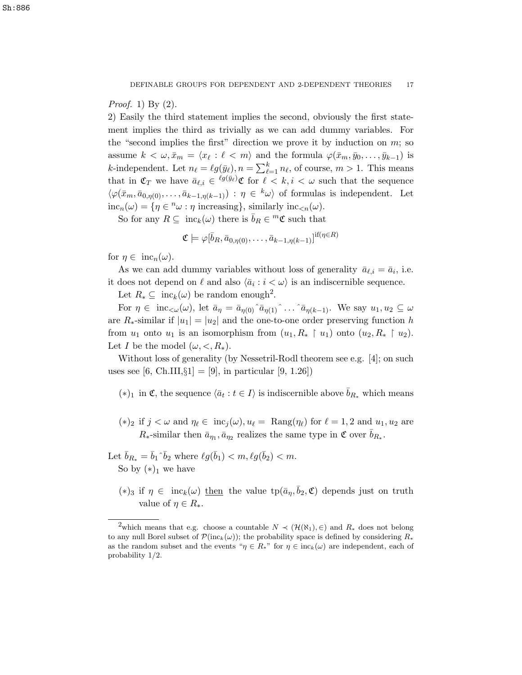## *Proof.* 1) By  $(2)$ .

2) Easily the third statement implies the second, obviously the first statement implies the third as trivially as we can add dummy variables. For the "second implies the first" direction we prove it by induction on  $m$ ; so assume  $k < \omega, \bar{x}_m = \langle x_\ell : \ell < m \rangle$  and the formula  $\varphi(\bar{x}_m, \bar{y}_0, \ldots, \bar{y}_{k-1})$  is *k*-independent. Let  $n_\ell = \ell g(\bar{y}_\ell), n = \sum_{\ell=1}^k n_\ell$ , of course,  $m > 1$ . This means that in  $\mathfrak{C}_T$  we have  $\bar{a}_{\ell,i} \in {}^{\ell g(\bar{y}_\ell)}\mathfrak{C}$  for  $\ell < k, i < \omega$  such that the sequence  $\langle \varphi(\bar{x}_m, \bar{a}_{0,\eta(0)}, \ldots, \bar{a}_{k-1,\eta(k-1)}) : \eta \in {k\omega} \rangle$  of formulas is independent. Let  $inc_n(\omega) = \{ \eta \in \mathbb{R}^n \omega : \eta \text{ increasing} \}, \text{ similarly inc}_{\leq n}(\omega).$ 

So for any  $R \subseteq \text{inc}_k(\omega)$  there is  $\bar{b}_R \in {}^m \mathfrak{C}$  such that

$$
\mathfrak{C} \models \varphi[\bar{b}_R, \bar{a}_{0,\eta(0)}, \dots, \bar{a}_{k-1,\eta(k-1)}]^{\mathrm{if}(\eta \in R)}
$$

for  $\eta \in \text{inc}_{n}(\omega)$ .

As we can add dummy variables without loss of generality  $\bar{a}_{\ell,i} = \bar{a}_i$ , i.e. it does not depend on  $\ell$  and also  $\langle \bar{a}_i : i < \omega \rangle$  is an indiscernible sequence.

Let  $R_* \subseteq \text{inc}_k(\omega)$  be random enough<sup>2</sup>.

For  $\eta \in \text{inc}_{\leq \omega}(\omega)$ , let  $\bar{a}_{\eta} = \bar{a}_{\eta(0)} \hat{a}_{\eta(1)} \hat{a}_{\eta(k-1)}$ . We say  $u_1, u_2 \subseteq \omega$ are  $R_*$ -similar if  $|u_1| = |u_2|$  and the one-to-one order preserving function h from  $u_1$  onto  $u_1$  is an isomorphism from  $(u_1, R_* \restriction u_1)$  onto  $(u_2, R_* \restriction u_2)$ . Let *I* be the model  $(\omega, <, R_*)$ .

Without loss of generality (by Nessetril-Rodl theorem see e.g. [4]; on such uses see [6, Ch.III,  $\S1$ ] = [9], in particular [9, 1.26])

- (\*)<sub>1</sub> in **€**, the sequence  $\langle \bar{a}_t : t \in I \rangle$  is indiscernible above  $\bar{b}_{R_*}$  which means
- (\*)<sub>2</sub> if  $j < \omega$  and  $\eta_{\ell} \in inc_i(\omega), u_{\ell} = \text{Rang}(\eta_{\ell})$  for  $\ell = 1, 2$  and  $u_1, u_2$  are  $R_*$ -similar then  $\bar{a}_{\eta_1}, \bar{a}_{\eta_2}$  realizes the same type in  $\mathfrak{C}$  over  $\bar{b}_{R_*}$ .
- Let  $\bar{b}_{R_*} = \bar{b}_1 \hat{b}_2$  where  $\ell g(\bar{b}_1) < m, \ell g(\bar{b}_2) < m$ . So by  $(*)_1$  we have
	- $(*)_3$  if  $\eta \in \text{inc}_k(\omega)$  then the value  $tp(\bar{a}_{\eta}, \bar{b}_2, \mathfrak{C})$  depends just on truth value of  $\eta \in R_*$ .

<sup>&</sup>lt;sup>2</sup>which means that e.g. choose a countable  $N \prec (\mathcal{H}(\aleph_1), \in)$  and  $R_*$  does not belong to any null Borel subset of  $\mathcal{P}(inc_k(\omega))$ ; the probability space is defined by considering  $R_*$ as the random subset and the events " $\eta \in R_*$ " for  $\eta \in \text{inc}_k(\omega)$  are independent, each of probability 1/2.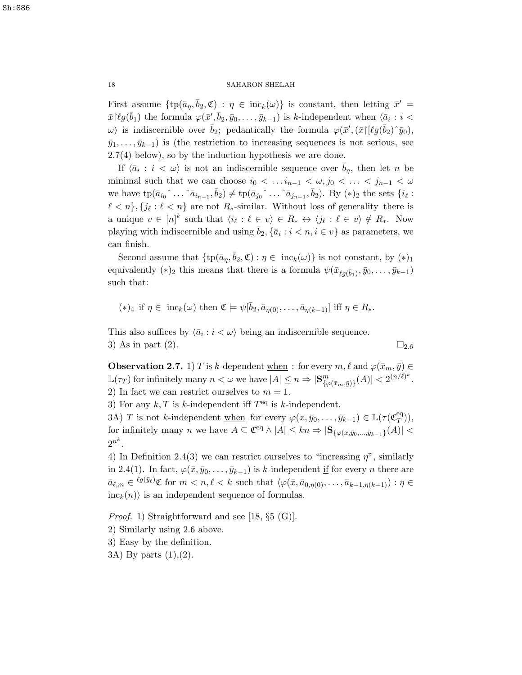First assume  $\{\text{tp}(\bar{a}_{\eta}, \bar{b}_2, \mathfrak{C}) : \eta \in \text{inc}_k(\omega)\}\$ is constant, then letting  $\bar{x}' =$  $\bar{x}$  $\lceil \ell g(\bar{b}_1) \rceil$  the formula  $\varphi(\bar{x}', \bar{b}_2, \bar{y}_0, \ldots, \bar{y}_{k-1})$  is k-independent when  $\langle \bar{a}_i : i \rangle$ w) is indiscernible over  $\bar{b}_2$ ; pedantically the formula  $\varphi(\bar{x}',(\bar{x})[\ell g(\bar{b}_2)^{\hat{}}\bar{y}_0),$  $(\bar{y}_1, \ldots, \bar{y}_{k-1})$  is (the restriction to increasing sequences is not serious, see  $2.7(4)$  below), so by the induction hypothesis we are done.

If  $\langle \bar{a}_i : i \langle \omega \rangle$  is not an indiscernible sequence over  $\bar{b}_\eta$ , then let n be minimal such that we can choose  $i_0 < \ldots i_{n-1} < \omega, j_0 < \ldots < j_{n-1} < \omega$ we have  $tp(\bar{a}_{i_0} \hat{a}_{i_1} \dots \hat{a}_{i_{n-1}}, \bar{b}_2) \neq tp(\bar{a}_{j_0} \hat{a}_{i_1} \dots \hat{a}_{j_{n-1}}, \bar{b}_2)$ . By  $(*)_2$  the sets  $\{i_\ell :$  $\ell < n$ ,  $\{j_\ell : \ell < n\}$  are not  $R_*$ -similar. Without loss of generality there is a unique  $v \in [n]^k$  such that  $\langle i_\ell : \ell \in v \rangle \in R_* \leftrightarrow \langle j_\ell : \ell \in v \rangle \notin R_*$ . Now playing with indiscernible and using  $\bar{b}_2$ ,  $\{\bar{a}_i : i < n, i \in v\}$  as parameters, we can finish.

Second assume that  $\{tp(\bar{a}_\eta, \bar{b}_2, \mathfrak{C}) : \eta \in \text{inc}_k(\omega)\}\$ is not constant, by  $(*)_1$ equivalently (\*)<sub>2</sub> this means that there is a formula  $\psi(\bar{x}_{\ell g(\bar{b}_1)}, \bar{y}_0, \ldots, \bar{y}_{k-1})$ such that:

$$
(*)_4 \text{ if } \eta \in \text{inc}_k(\omega) \text{ then } \mathfrak{C} \models \psi[\bar{b}_2, \bar{a}_{\eta(0)}, \dots, \bar{a}_{\eta(k-1)}] \text{ iff } \eta \in R_*.
$$

This also suffices by  $\langle \bar{a}_i : i < \omega \rangle$  being an indiscernible sequence. 3) As in part (2).  $\Box_{2.6}$ 

**Observation 2.7.** 1) T is k-dependent when : for every  $m, \ell$  and  $\varphi(\bar{x}_m, \bar{y}) \in$  $\mathbb{L}(\tau_T)$  for infinitely many  $n < \omega$  we have  $|A| \leq n \Rightarrow |\mathbf{S}_{\{\varphi(\bar{x}_m,\bar{y})\}}^m(A)| < 2^{(n/\ell)^k}$ . 2) In fact we can restrict ourselves to  $m = 1$ .

3) For any  $k, T$  is k-independent iff  $T<sup>eq</sup>$  is k-independent.

3A) T is not k-independent when for every  $\varphi(x, \bar{y}_0, \ldots, \bar{y}_{k-1}) \in \mathbb{L}(\tau(\mathfrak{C}_T^{\text{eq}}))$  $_{T}^{\text{eq}})),$ for infinitely many n we have  $A \subseteq \mathfrak{C}^{eq} \wedge |A| \leq kn \Rightarrow |\mathbf{S}_{\{\varphi(x,\bar{y}_0,\ldots,\bar{y}_{k-1}\}}(A)| <$  $2^{n^k}.$ 

4) In Definition 2.4(3) we can restrict ourselves to "increasing  $\eta$ ", similarly in 2.4(1). In fact,  $\varphi(\bar{x}, \bar{y}_0, \ldots, \bar{y}_{k-1})$  is k-independent if for every n there are  $\bar{a}_{\ell,m} \in \ell^{g(\bar{y}_{\ell})}\mathfrak{C}$  for  $m < n, \ell < k$  such that  $\langle \varphi(\bar{x}, \bar{a}_{0,\eta(0)}, \ldots, \bar{a}_{k-1,\eta(k-1)}) : \eta \in$  $inc_k(n)$  is an independent sequence of formulas.

Proof. 1) Straightforward and see [18, §5 (G)]. 2) Similarly using 2.6 above. 3) Easy by the definition. 3A) By parts (1),(2).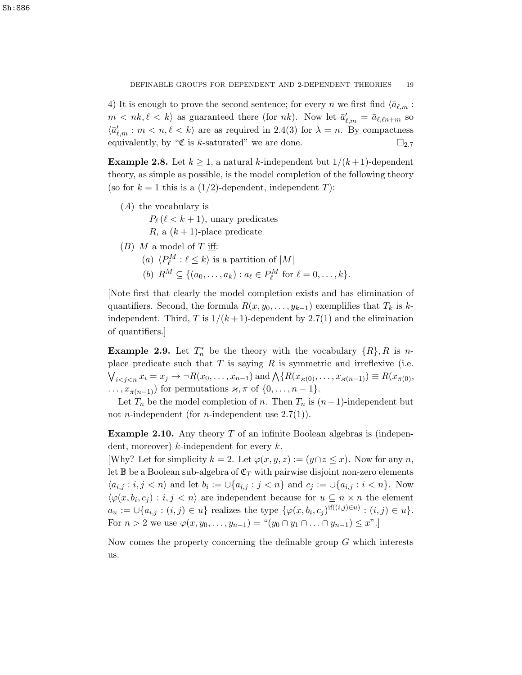4) It is enough to prove the second sentence; for every n we first find  $\langle \bar{a}_{\ell,m} :$  $m < nk, \ell < k$  as guaranteed there (for nk). Now let  $\bar{a}'_{\ell,m} = \bar{a}_{\ell,\ell n+m}$  so  $\langle \bar{a}'_{\ell,m} : m < n, \ell < k \rangle$  are as required in 2.4(3) for  $\lambda = n$ . By compactness equivalently, by " $\mathfrak{C}$  is  $\bar{\kappa}$ -saturated" we are done.  $\square_{2.7}$ 

**Example 2.8.** Let  $k \geq 1$ , a natural k-independent but  $1/(k+1)$ -dependent theory, as simple as possible, is the model completion of the following theory (so for  $k = 1$  this is a  $(1/2)$ -dependent, independent T):

(A) the vocabulary is

 $P_{\ell}$  ( $\ell < k + 1$ ), unary predicates R, a  $(k + 1)$ -place predicate

- $(B)$  M a model of T iff:
	- (a)  $\langle P^M_\ell : \ell \leq k \rangle$  is a partition of  $|M|$
	- (b)  $R^M \subseteq \{(a_0, \ldots, a_k) : a_\ell \in P_\ell^M \text{ for } \ell = 0, \ldots, k\}.$

[Note first that clearly the model completion exists and has elimination of quantifiers. Second, the formula  $R(x, y_0, \ldots, y_{k-1})$  exemplifies that  $T_k$  is kindependent. Third, T is  $1/(k+1)$ -dependent by 2.7(1) and the elimination of quantifiers.]

**Example 2.9.** Let  $T_n^*$  be the theory with the vocabulary  $\{R\}, R$  is nplace predicate such that  $T$  is saying  $R$  is symmetric and irreflexive (i.e.  $\bigvee_{i < j < n} x_i = x_j \to \neg R(x_0, \dots, x_{n-1})$  and  $\bigwedge \{ R(x_{\varkappa(0)}, \dots, x_{\varkappa(n-1)}) \equiv R(x_{\pi(0)}, \dots, x_{\pi(n-1)}) \equiv R(x_{\pi(n)})$  $\dots, x_{\pi(n-1)}$  for permutations  $\varkappa, \pi$  of  $\{0, \dots, n-1\}.$ 

Let  $T_n$  be the model completion of n. Then  $T_n$  is  $(n-1)$ -independent but not *n*-independent (for *n*-independent use  $2.7(1)$ ).

**Example 2.10.** Any theory  $T$  of an infinite Boolean algebras is (independent, moreover)  $k$ -independent for every  $k$ .

[Why? Let for simplicity  $k = 2$ . Let  $\varphi(x, y, z) := (y \cap z \leq x)$ . Now for any n, let  $\mathbb B$  be a Boolean sub-algebra of  $\mathfrak C_T$  with pairwise disjoint non-zero elements  $\langle a_{i,j} : i,j \langle n \rangle$  and let  $b_i := \bigcup \{a_{i,j} : j \langle n \rangle\}$  and  $c_j := \bigcup \{a_{i,j} : i \langle n \rangle\}$ . Now  $\langle \varphi(x, b_i, c_j) : i, j < n \rangle$  are independent because for  $u \subseteq n \times n$  the element  $a_u := \bigcup \{a_{i,j} : (i,j) \in u\}$  realizes the type  $\{\varphi(x, b_i, c_j)$ <sup>if $((i,j) \in u) : (i,j) \in u\}.$ </sup> For  $n > 2$  we use  $\varphi(x, y_0, \ldots, y_{n-1}) =$  " $(y_0 \cap y_1 \cap \ldots \cap y_{n-1}) \leq x$ ".

Now comes the property concerning the definable group G which interests us.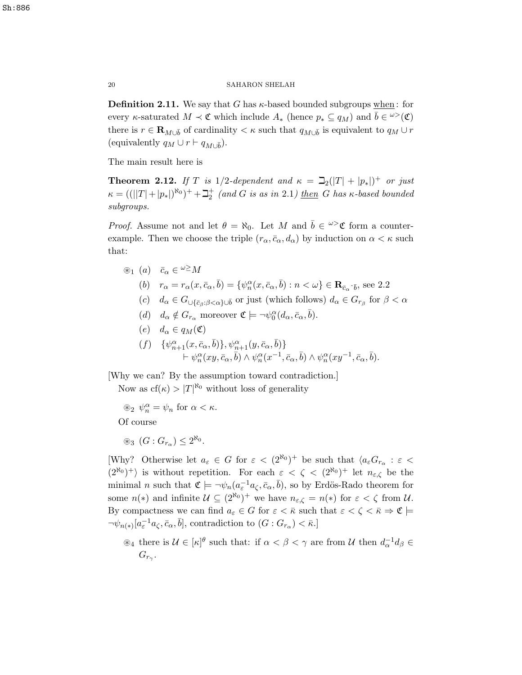**Definition 2.11.** We say that G has  $\kappa$ -based bounded subgroups when: for every *κ*-saturated  $M \prec \mathfrak{C}$  which include  $A_*$  (hence  $p_* \subseteq q_M$ ) and  $\bar{b} \in \omega^{\geq}(\mathfrak{C})$ there is  $r \in \mathbf{R}_{M\cup \bar{b}}$  of cardinality  $\lt \kappa$  such that  $q_{M\cup \bar{b}}$  is equivalent to  $q_M \cup r$ (equivalently  $q_M \cup r \vdash q_{M \cup \overline{b}}$ ).

The main result here is

**Theorem 2.12.** If T is 1/2-dependent and  $\kappa = \beth_2(|T| + |p_*|)^+$  or just  $\kappa = ((||T|+|p_*|)^{\aleph_0})^+ + \beth_2^+$  (and G is as in 2.1) then G has  $\kappa$ -based bounded subgroups.

*Proof.* Assume not and let  $\theta = \aleph_0$ . Let M and  $\bar{b} \in \omega^{\geq} \mathfrak{C}$  form a counterexample. Then we choose the triple  $(r_{\alpha}, \bar{c}_{\alpha}, d_{\alpha})$  by induction on  $\alpha < \kappa$  such that:

- $\circledast_1$  (a)  $\bar{c}_{\alpha} \in {}^{\omega \geq} M$ (b)  $r_{\alpha} = r_{\alpha}(x, \bar{c}_{\alpha}, \bar{b}) = \{ \psi_{n}^{\alpha}(x, \bar{c}_{\alpha}, \bar{b}) : n < \omega \} \in \mathbb{R}_{\bar{c}_{\alpha} \bar{\delta}}$ , see 2.2 (c)  $d_{\alpha} \in G_{\cup \{\bar{c}_{\beta}:\beta < \alpha\}\cup\bar{b}}$  or just (which follows)  $d_{\alpha} \in G_{r_{\beta}}$  for  $\beta < \alpha$ 
	- (d)  $d_{\alpha} \notin G_{r_{\alpha}}$  moreover  $\mathfrak{C} \models \neg \psi_0^{\alpha}(d_{\alpha}, \bar{c}_{\alpha}, \bar{b}).$
	- (e)  $d_{\alpha} \in q_M(\mathfrak{C})$

$$
\begin{array}{ll} (f) & \{\psi_{n+1}^\alpha (x,\bar c_\alpha,\bar b)\}, \psi_{n+1}^\alpha (y,\bar c_\alpha,\bar b)\} \\ & \qquad \qquad \vdash \psi_n^\alpha (xy,\bar c_\alpha,\bar b) \wedge \psi_n^\alpha (x^{-1},\bar c_\alpha,\bar b) \wedge \psi_n^\alpha (xy^{-1},\bar c_\alpha,\bar b). \end{array}
$$

[Why we can? By the assumption toward contradiction.]

Now as  $cf(\kappa) > |T|^{\aleph_0}$  without loss of generality

 $\circledast_2 \psi_n^{\alpha} = \psi_n \text{ for } \alpha < \kappa.$ Of course

 $\circledast_3$   $(G:G_{r_\alpha}) \leq 2^{\aleph_0}.$ 

[Why? Otherwise let  $a_{\varepsilon} \in G$  for  $\varepsilon < (2^{\aleph_0})^+$  be such that  $\langle a_{\varepsilon} G_{r_{\alpha}} : \varepsilon <$  $(2^{\aleph_0})^+$  is without repetition. For each  $\varepsilon < \zeta < (2^{\aleph_0})^+$  let  $n_{\varepsilon,\zeta}$  be the minimal *n* such that  $\mathfrak{C} \models \neg \psi_n(a_{\varepsilon}^{-1}a_{\zeta}, \bar{c}_{\alpha}, \bar{b}),$  so by Erdös-Rado theorem for some  $n(*)$  and infinite  $\mathcal{U} \subseteq (2^{\aleph_0})^+$  we have  $n_{\varepsilon,\zeta} = n(*)$  for  $\varepsilon < \zeta$  from  $\mathcal{U}$ . By compactness we can find  $a_{\varepsilon} \in G$  for  $\varepsilon < \bar{\kappa}$  such that  $\varepsilon < \zeta < \bar{\kappa} \Rightarrow \mathfrak{C} \models$  $\neg\psi_{n(*)}[a_{\varepsilon}^{-1}a_{\zeta}, \bar{c}_{\alpha}, \bar{b}],$  contradiction to  $(G: G_{r_{\alpha}}) < \bar{\kappa}.]$ 

 $\mathcal{A}_4$  there is  $\mathcal{U} \in [\kappa]^\theta$  such that: if  $\alpha < \beta < \gamma$  are from U then  $d_{\alpha}^{-1} d_{\beta} \in$  $G_{r_{\gamma}}$ .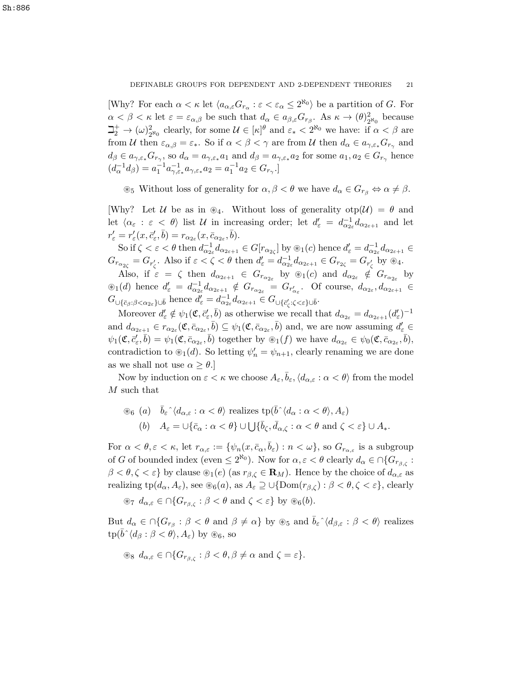[Why? For each  $\alpha < \kappa$  let  $\langle a_{\alpha,\varepsilon}G_{r_\alpha} : \varepsilon < \varepsilon_\alpha \leq 2^{\aleph_0} \rangle$  be a partition of G. For  $\alpha < \beta < \kappa$  let  $\varepsilon = \varepsilon_{\alpha,\beta}$  be such that  $d_{\alpha} \in a_{\beta,\varepsilon} G_{r_{\beta}}$ . As  $\kappa \to (\theta)_{2}^{2}$  $\frac{2}{2^{\aleph_0}}$  because  $\beth_2^+ \to (\omega)_2^2$  $2^{\circ}_{2^{\aleph_0}}$  clearly, for some  $\mathcal{U} \in [\kappa]^{\theta}$  and  $\varepsilon_* < 2^{\aleph_0}$  we have: if  $\alpha < \beta$  are from U then  $\varepsilon_{\alpha,\beta} = \varepsilon_*$ . So if  $\alpha < \beta < \gamma$  are from U then  $d_\alpha \in a_{\gamma,\varepsilon_*} G_{r_\gamma}$  and  $d_{\beta} \in a_{\gamma,\varepsilon_*} G_{r_{\gamma}},$  so  $d_{\alpha} = a_{\gamma,\varepsilon_*} a_1$  and  $d_{\beta} = a_{\gamma,\varepsilon_*} a_2$  for some  $a_1, a_2 \in G_{r_{\gamma}}$  hence  $(d_{\alpha}^{-1}d_{\beta}) = a_1^{-1}a_{\gamma,\varepsilon_*}^{-1}a_{\gamma,\varepsilon_*}a_2 = a_1^{-1}a_2 \in G_{r_{\gamma}}.$ 

 $\otimes_5$  Without loss of generality for  $\alpha, \beta < \theta$  we have  $d_{\alpha} \in G_{r_{\beta}} \Leftrightarrow \alpha \neq \beta$ .

[Why? Let U be as in  $\mathscr{B}_4$ . Without loss of generality  $otp(\mathcal{U}) = \theta$  and let  $\langle \alpha_{\varepsilon} : \varepsilon \langle \theta \rangle$  list U in increasing order; let  $d'_{\varepsilon} = d_{\alpha_{2\varepsilon}}^{-1} d_{\alpha_{2\varepsilon+1}}$  and let  $r'_{\varepsilon} = r'_{\varepsilon}(x, \bar{c}'_{\varepsilon}, \bar{b}) = r_{\alpha_{2\varepsilon}}(x, \bar{c}_{\alpha_{2\varepsilon}}, \bar{b}).$ 

So if  $\zeta < \varepsilon < \theta$  then  $d_{\alpha_{2\varepsilon}}^{-1} d_{\alpha_{2\varepsilon+1}} \in G[r_{\alpha_{2\varepsilon}}]$  by  $\otimes_1(c)$  hence  $d'_{\varepsilon} = d_{\alpha_{2\varepsilon}}^{-1} d_{\alpha_{2\varepsilon+1}} \in$  $G_{r_{\alpha_{2\zeta}}} = G_{r'_\zeta}$ . Also if  $\varepsilon < \zeta < \theta$  then  $d'_{\varepsilon} = d_{\alpha_{2\varepsilon}}^{-1} d_{\alpha_{2\varepsilon+1}} \in G_{r_{2\zeta}} = G_{r'_\zeta}$  by  $\otimes_4$ .

Also, if  $\varepsilon = \zeta$  then  $d_{\alpha_{2\varepsilon+1}} \in G_{r_{\alpha_{2\varepsilon}}}$  by  $\otimes_1(c)$  and  $d_{\alpha_{2\varepsilon}} \notin G_{r_{\alpha_{2\varepsilon}}}$  by  $\mathcal{L}(d)$  hence  $d'_{\varepsilon} = d_{\alpha_{2\varepsilon}}^{-1} d_{\alpha_{2\varepsilon+1}} \notin G_{r_{\alpha_{2\varepsilon}}} = G_{r'_{\alpha_{\varepsilon}}}$ . Of course,  $d_{\alpha_{2\varepsilon}}, d_{\alpha_{2\varepsilon+1}} \in$  $G_{\cup \{\bar{c}_{\beta}:\beta<\alpha_{2\varepsilon}\}\cup \bar{b}}$  hence  $d'_{\varepsilon}=d_{\alpha_{2\varepsilon}}^{-1}d_{\alpha_{2\varepsilon+1}}\in G_{\cup \{\bar{c}'_{\zeta}:\zeta<\varepsilon\}\cup \bar{b}}.$ 

Moreover  $d'_{\varepsilon} \notin \psi_1(\mathfrak{C}, \bar{c}'_{\varepsilon}, \bar{b})$  as otherwise we recall that  $d_{\alpha_{2\varepsilon}} = d_{\alpha_{2\varepsilon+1}} (d'_{\varepsilon})^{-1}$ and  $d_{\alpha_{2\varepsilon+1}} \in r_{\alpha_{2\varepsilon}}(\mathfrak{C}, \bar{c}_{\alpha_{2\varepsilon}}, \bar{b}) \subseteq \psi_1(\mathfrak{C}, \bar{c}_{\alpha_{2\varepsilon}}, \bar{b})$  and, we are now assuming  $d'_{\varepsilon} \in$  $\psi_1(\mathfrak{C}, \bar{c}'_{\varepsilon}, \bar{b}) = \psi_1(\mathfrak{C}, \bar{c}_{\alpha_{2\varepsilon}}, \bar{b})$  together by  $\mathscr{L}_1(f)$  we have  $d_{\alpha_{2\varepsilon}} \in \psi_0(\mathfrak{C}, \bar{c}_{\alpha_{2\varepsilon}}, \bar{b}),$ contradiction to  $\mathcal{D}_1(d)$ . So letting  $\psi'_n = \psi_{n+1}$ , clearly renaming we are done as we shall not use  $\alpha \geq \theta$ .

Now by induction on  $\varepsilon < \kappa$  we choose  $A_{\varepsilon}, \bar{b}_{\varepsilon}, \langle d_{\alpha,\varepsilon} : \alpha < \theta \rangle$  from the model M such that

$$
\begin{aligned}\n\textcircled{\tiny{86}} \ (a) \quad &\bar{b}_{\varepsilon} \hat{\;} \langle d_{\alpha,\varepsilon} : \alpha < \theta \rangle \text{ realizes } \text{tp}(\bar{b} \hat{\;} \langle d_{\alpha} : \alpha < \theta \rangle, A_{\varepsilon}) \\
(b) \quad &A_{\varepsilon} = \cup \{\bar{c}_{\alpha} : \alpha < \theta \} \cup \bigcup \{\bar{b}_{\zeta}, \bar{d}_{\alpha,\zeta} : \alpha < \theta \text{ and } \zeta < \varepsilon \} \cup A_{*}.\n\end{aligned}
$$

For  $\alpha < \theta, \varepsilon < \kappa$ , let  $r_{\alpha,\varepsilon} := \{ \psi_n(x, \bar{c}_\alpha, \bar{b}_\varepsilon) : n < \omega \},$  so  $G_{r_{\alpha,\varepsilon}}$  is a subgroup of G of bounded index (even  $\leq 2^{\aleph_0}$ ). Now for  $\alpha, \varepsilon < \theta$  clearly  $d_\alpha \in \bigcap \{G_{r_{\beta,\zeta}}:$  $\beta < \theta, \zeta < \varepsilon$ } by clause  $\mathcal{L}_1(e)$  (as  $r_{\beta, \zeta} \in \mathbf{R}_M$ ). Hence by the choice of  $d_{\alpha, \varepsilon}$  as realizing  $tp(d_\alpha, A_\varepsilon)$ , see  $\mathcal{B}_6(a)$ , as  $A_\varepsilon \supseteq \bigcup{\text{Dom}(r_{\beta,\zeta})} : \beta < \theta, \zeta < \varepsilon\}$ , clearly

 $\mathscr{F}_7$   $d_{\alpha,\varepsilon} \in \bigcap \{ G_{r_{\beta,\zeta}} : \beta < \theta \text{ and } \zeta < \varepsilon \}$  by  $\mathscr{F}_6(b)$ .

But  $d_{\alpha} \in \cap \{G_{r_{\beta}} : \beta < \theta \text{ and } \beta \neq \alpha\}$  by  $\circledast_5$  and  $\overline{b}_{\varepsilon} \hat{\;} \langle d_{\beta,\varepsilon} : \beta < \theta \rangle$  realizes  $tp(\bar{b}^{\hat{}}\langle d_{\beta} : \beta < \theta \rangle, A_{\varepsilon})$  by  $\circledast_6$ , so

$$
\text{ as } d_{\alpha,\varepsilon} \in \cap \{ G_{r_{\beta,\zeta}} : \beta < \theta, \beta \neq \alpha \text{ and } \zeta = \varepsilon \}.
$$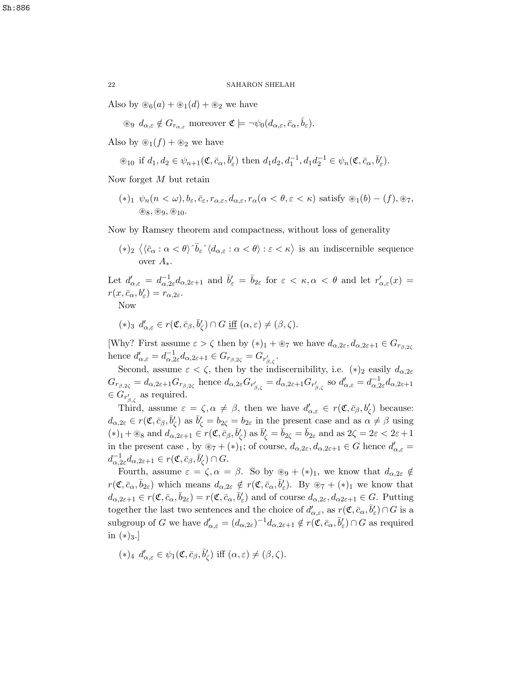Also by  $\mathcal{B}_6(a) + \mathcal{B}_1(d) + \mathcal{B}_2$  we have

 $\circledast$   $d_{\alpha,\varepsilon} \notin G_{r_{\alpha,\varepsilon}}$  moreover  $\mathfrak{C} \models \neg \psi_0(d_{\alpha,\varepsilon}, \bar{c}_{\alpha}, \bar{b}_{\varepsilon}).$ 

Also by  $\mathcal{L}_1(f) + \mathcal{L}_2$  we have

 $\circledast_{10}$  if  $d_1, d_2 \in \psi_{n+1}(\mathfrak{C}, \bar{c}_{\alpha}, \bar{b}'_{\varepsilon})$  then  $d_1 d_2, d_1^{-1}, d_1 d_2^{-1} \in \psi_n(\mathfrak{C}, \bar{c}_{\alpha}, \bar{b}'_{\varepsilon})$ .

Now forget M but retain

 $(*)_1 \psi_n(n < \omega), b_\varepsilon, \bar{c}_\varepsilon, r_{\alpha,\varepsilon}, d_{\alpha,\varepsilon}, r_\alpha(\alpha < \theta, \varepsilon < \kappa)$  satisfy  $\mathcal{L}_1(b) - (f), \mathcal{L}_7$ ,  $\circledast_8, \circledast_9, \circledast_{10}.$ 

Now by Ramsey theorem and compactness, without loss of generality

 $(*)_2 \langle \langle \bar{c}_\alpha : \alpha < \theta \rangle \hat{b}_\varepsilon \hat{\;} \langle d_{\alpha,\varepsilon} : \alpha < \theta \rangle : \varepsilon < \kappa \rangle$  is an indiscernible sequence over  $A_{\cdot}$ 

Let  $d'_{\alpha,\varepsilon} = d_{\alpha,2\varepsilon}^{-1} d_{\alpha,2\varepsilon+1}$  and  $\bar{b}'_{\varepsilon} = \bar{b}_{2\varepsilon}$  for  $\varepsilon < \kappa, \alpha < \theta$  and let  $r'_{\alpha,\varepsilon}(x) =$  $r(x,\bar{c}_{\alpha},b'_{\varepsilon})=r_{\alpha,2\varepsilon}.$ 

Now

$$
(*)_{3} d'_{\alpha,\varepsilon} \in r(\mathfrak{C},\bar{c}_{\beta},\bar{b}'_{\zeta}) \cap G \underline{\text{ iff }} (\alpha,\varepsilon) \neq (\beta,\zeta).
$$

[Why? First assume  $\varepsilon > \zeta$  then by  $(*)_1 + \otimes_7$  we have  $d_{\alpha,2\varepsilon}, d_{\alpha,2\varepsilon+1} \in G_{r\beta,\alpha}$ hence  $d'_{\alpha,\varepsilon} = d_{\alpha,2\varepsilon}^{-1} d_{\alpha,2\varepsilon+1} \in G_{r_{\beta,2\varepsilon}} = G_{r'_{\beta,\zeta}}$ .

Second, assume  $\varepsilon < \zeta$ , then by the indiscernibility, i.e.  $(*)_2$  easily  $d_{\alpha,2\varepsilon}$  $G_{r_{\beta,2\zeta}} = d_{\alpha,2\varepsilon+1} G_{r_{\beta,2\zeta}}$  hence  $d_{\alpha,2\varepsilon} G_{r'_{\beta,\zeta}} = d_{\alpha,2\varepsilon+1} G_{r'_{\beta,\zeta}}$  so  $d'_{\alpha,\varepsilon} = d_{\alpha,2\varepsilon}^{-1} d_{\alpha,2\varepsilon+1}$  $\in G_{r'_{\beta,\zeta}}$  as required.

Third, assume  $\varepsilon = \zeta, \alpha \neq \beta$ , then we have  $d'_{\alpha,\varepsilon} \in r(\mathfrak{C}, \bar{c}_{\beta}, b'_{\zeta})$  because:  $d_{\alpha,2\varepsilon} \in r(\mathfrak{C}, \bar{c}_{\beta}, \bar{b}'_{\zeta})$  as  $\bar{b}'_{\zeta} = b_{2\xi} = b_{2\varepsilon}$  in the present case and as  $\alpha \neq \beta$  using  $(*)_1 + \otimes_8$  and  $d_{\alpha,2\varepsilon+1} \in r(\mathfrak{C}, \bar{c}_{\beta}, \bar{b}'_{\zeta})$  as  $\bar{b}'_{\zeta} = \bar{b}_{2\zeta} = \bar{b}_{2\varepsilon}$  and as  $2\zeta = 2\varepsilon < 2\varepsilon + 1$ in the present case, by  $\otimes_7 + (*)_1$ ; of course,  $d_{\alpha,2\varepsilon}, d_{\alpha,2\varepsilon+1} \in G$  hence  $d'_{\alpha,\varepsilon} =$  $d_{\alpha,2\varepsilon}^{-1}d_{\alpha,2\varepsilon+1} \in r(\mathfrak{C},\bar{c}_{\beta},\bar{b}'_{\zeta}) \cap G.$ 

Fourth, assume  $\varepsilon = \zeta, \alpha = \beta$ . So by  $\circledast_9 + (\ast)_1$ , we know that  $d_{\alpha,2\varepsilon} \notin$  $r(\mathfrak{C}, \bar{c}_{\alpha}, \bar{b}_{2\varepsilon})$  which means  $d_{\alpha,2\varepsilon} \notin r(\mathfrak{C}, \bar{c}_{\alpha}, \bar{b}'_{\varepsilon})$ . By  $\otimes_7 + (*)_1$  we know that  $d_{\alpha,2\varepsilon+1} \in r(\mathfrak{C}, \bar{c}_{\alpha}, \bar{b}_{2\varepsilon}) = r(\mathfrak{C}, \bar{c}_{\alpha}, \bar{b}'_{\varepsilon})$  and of course  $d_{\alpha,2\varepsilon}, d_{\alpha,2\varepsilon+1} \in G$ . Putting together the last two sentences and the choice of  $d'_{\alpha,\varepsilon}$ , as  $r(\mathfrak{C},\bar{c}_\alpha,\bar{b}'_\varepsilon)\cap G$  is a subgroup of G we have  $d'_{\alpha,\varepsilon} = (d_{\alpha,2\varepsilon})^{-1} d_{\alpha,2\varepsilon+1} \notin r(\mathfrak{C}, \bar{c}_{\alpha}, \bar{b}'_{\varepsilon}) \cap G$  as required in  $(*)_{3}.$ ]

 $(*)_4 \, d'_{\alpha,\varepsilon} \in \psi_1(\mathfrak{C}, \bar{c}_\beta, \bar{b}'_\zeta) \text{ iff } (\alpha, \varepsilon) \neq (\beta, \zeta).$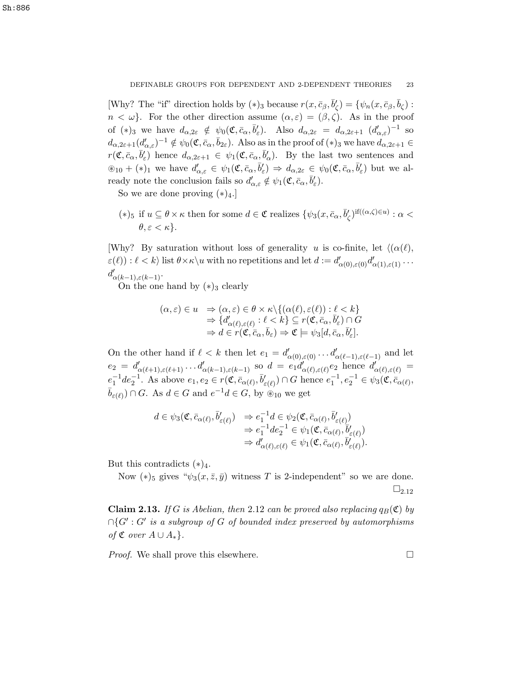[Why? The "if" direction holds by  $(*)_3$  because  $r(x, \bar{c}_{\beta}, \bar{b}'_{\zeta}) = \{ \psi_n(x, \bar{c}_{\beta}, \bar{b}_{\zeta}) :$  $n < \omega$ . For the other direction assume  $(\alpha, \varepsilon) = (\beta, \zeta)$ . As in the proof of (\*)<sub>3</sub> we have  $d_{\alpha,2\varepsilon} \notin \psi_0(\mathfrak{C}, \bar{c}_\alpha, \bar{b}'_\varepsilon)$ . Also  $d_{\alpha,2\varepsilon} = d_{\alpha,2\varepsilon+1} (d'_{\alpha,\varepsilon})^{-1}$  so  $d_{\alpha,2\varepsilon+1}(d'_{\alpha,\varepsilon})^{-1} \notin \psi_0(\mathfrak{C}, \bar{c}_\alpha, \bar{b}_{2\varepsilon}).$  Also as in the proof of  $(*)_3$  we have  $d_{\alpha,2\varepsilon+1} \in$  $r(\mathfrak{C}, \bar{c}_{\alpha}, \bar{b}'_{\varepsilon})$  hence  $d_{\alpha,2\varepsilon+1} \in \psi_1(\mathfrak{C}, \bar{c}_{\alpha}, \bar{b}'_{\alpha})$ . By the last two sentences and  $\mathscr{E}_{10} + (*)_1$  we have  $d'_{\alpha,\varepsilon} \in \psi_1(\mathfrak{C}, \bar{c}_{\alpha}, \bar{b}'_{\varepsilon}) \Rightarrow d_{\alpha,2\varepsilon} \in \psi_0(\mathfrak{C}, \bar{c}_{\alpha}, \bar{b}'_{\varepsilon})$  but we already note the conclusion fails so  $d'_{\alpha,\varepsilon} \notin \psi_1(\mathfrak{C}, \bar{c}_\alpha, \bar{b}'_\varepsilon)$ .

So we are done proving  $(*)_4$ .

(\*)<sub>5</sub> if  $u \subseteq \theta \times \kappa$  then for some  $d \in \mathfrak{C}$  realizes  $\{\psi_3(x, \bar{c}_\alpha, \bar{b}'_\zeta)^{\text{if}((\alpha,\zeta)\in u)} : \alpha$  $\theta, \varepsilon < \kappa$ .

[Why? By saturation without loss of generality u is co-finite, let  $\langle (\alpha(\ell)),$  $\varepsilon(\ell)$ ) :  $\ell < k$  list  $\theta \times \kappa \setminus u$  with no repetitions and let  $d := d'_{\alpha(0),\varepsilon(0)} d'_{\alpha(1),\varepsilon(1)} \dots$  $d'_{\alpha(k-1),\varepsilon(k-1)}$ .

On the one hand by  $(*)_3$  clearly

$$
(\alpha, \varepsilon) \in u \Rightarrow (\alpha, \varepsilon) \in \theta \times \kappa \setminus \{ (\alpha(\ell), \varepsilon(\ell)) : \ell < k \} \Rightarrow \{ d'_{\alpha(\ell), \varepsilon(\ell)} : \ell < k \} \subseteq r(\mathfrak{C}, \bar{c}_{\alpha}, \bar{b}'_{\varepsilon}) \cap G \Rightarrow d \in r(\mathfrak{C}, \bar{c}_{\alpha}, \bar{b}_{\varepsilon}) \Rightarrow \mathfrak{C} \models \psi_3[d, \bar{c}_{\alpha}, \bar{b}'_{\varepsilon}].
$$

On the other hand if  $\ell < k$  then let  $e_1 = d'_{\alpha(0),\varepsilon(0)} \ldots d'_{\alpha(\ell-1),\varepsilon(\ell-1)}$  and let  $e_2 = d'_{\alpha(\ell+1),\varepsilon(\ell+1)} \ldots d'_{\alpha(k-1),\varepsilon(k-1)}$  so  $d = e_1 d'_{\alpha(\ell),\varepsilon(\ell)} e_2$  hence  $d'_{\alpha(\ell),\varepsilon(\ell)} =$  $e_1^{-1}de_2^{-1}$ . As above  $e_1, e_2 \in r(\mathfrak{C}, \bar{c}_{\alpha(\ell)}, \bar{b}'_{\varepsilon(\ell)}) \cap G$  hence  $e_1^{-1}, e_2^{-1} \in \psi_3(\mathfrak{C}, \bar{c}_{\alpha(\ell)}, \bar{b}_{\varepsilon(\ell)})$  $\bar{b}_{\varepsilon(\ell)}) \cap G$ . As  $d \in G$  and  $e^{-1}d \in G$ , by  $\stackrel{\sim}{\otimes}_{10}$  we get

$$
d \in \psi_3(\mathfrak{C}, \bar{c}_{\alpha(\ell)}, \bar{b}'_{\varepsilon(\ell)}) \Rightarrow e_1^{-1}d \in \psi_2(\mathfrak{C}, \bar{c}_{\alpha(\ell)}, \bar{b}'_{\varepsilon(\ell)})
$$
  
\n
$$
\Rightarrow e_1^{-1}de_2^{-1} \in \psi_1(\mathfrak{C}, \bar{c}_{\alpha(\ell)}, \bar{b}'_{\varepsilon(\ell)})
$$
  
\n
$$
\Rightarrow d'_{\alpha(\ell), \varepsilon(\ell)} \in \psi_1(\mathfrak{C}, \bar{c}_{\alpha(\ell)}, \bar{b}'_{\varepsilon(\ell)}).
$$

But this contradicts  $(*)_4$ .

Now  $(*)_5$  gives " $\psi_3(x,\overline{z},\overline{y})$  witness T is 2-independent" so we are done.  $\square_{2.12}$ 

**Claim 2.13.** If G is Abelian, then 2.12 can be proved also replacing  $q_B(\mathfrak{C})$  by  $\bigcap G': G'$  is a subgroup of G of bounded index preserved by automorphisms of  $\mathfrak C$  over  $A \cup A_*$ .

*Proof.* We shall prove this elsewhere.  $\square$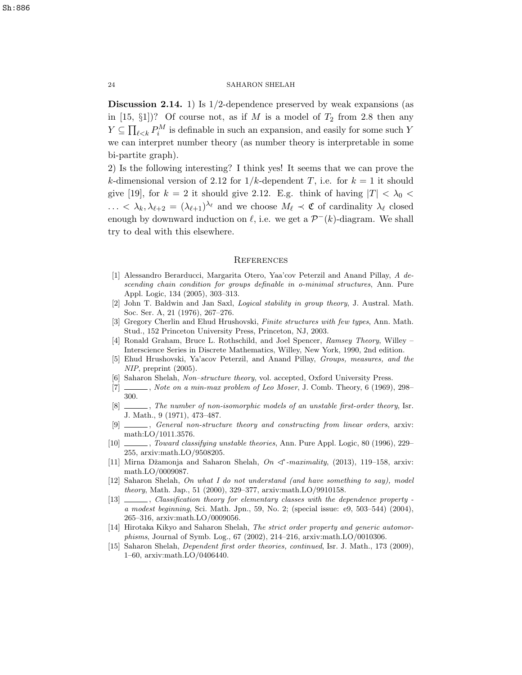Discussion 2.14. 1) Is 1/2-dependence preserved by weak expansions (as in  $[15, \S1]$ ? Of course not, as if M is a model of  $T_2$  from 2.8 then any  $Y \subseteq \prod_{\ell \leq k} P_i^M$  is definable in such an expansion, and easily for some such Y we can interpret number theory (as number theory is interpretable in some bi-partite graph).

2) Is the following interesting? I think yes! It seems that we can prove the k-dimensional version of 2.12 for  $1/k$ -dependent T, i.e. for  $k = 1$  it should give [19], for  $k = 2$  it should give 2.12. E.g. think of having  $|T| < \lambda_0 <$  $\ldots < \lambda_k, \lambda_{\ell+2} = (\lambda_{\ell+1})^{\lambda_{\ell}}$  and we choose  $M_{\ell} \prec \mathfrak{C}$  of cardinality  $\lambda_{\ell}$  closed enough by downward induction on  $\ell$ , i.e. we get a  $\mathcal{P}^{-}(k)$ -diagram. We shall try to deal with this elsewhere.

### **REFERENCES**

- [1] Alessandro Berarducci, Margarita Otero, Yaa'cov Peterzil and Anand Pillay, A descending chain condition for groups definable in o-minimal structures, Ann. Pure Appl. Logic, 134 (2005), 303–313.
- [2] John T. Baldwin and Jan Saxl, Logical stability in group theory, J. Austral. Math. Soc. Ser. A, 21 (1976), 267–276.
- [3] Gregory Cherlin and Ehud Hrushovski, Finite structures with few types, Ann. Math. Stud., 152 Princeton University Press, Princeton, NJ, 2003.
- [4] Ronald Graham, Bruce L. Rothschild, and Joel Spencer, Ramsey Theory, Willey Interscience Series in Discrete Mathematics, Willey, New York, 1990, 2nd edition.
- [5] Ehud Hrushovski, Ya'acov Peterzil, and Anand Pillay, Groups, measures, and the NIP, preprint (2005).
- [6] Saharon Shelah, Non–structure theory, vol. accepted, Oxford University Press.
- $[7]$  , Note on a min-max problem of Leo Moser, J. Comb. Theory, 6 (1969), 298– 300.
- [8]  $\ldots$ , The number of non-isomorphic models of an unstable first-order theory, Isr. J. Math., 9 (1971), 473–487.
- [9]  $\_\_\_\_\_\$ , General non-structure theory and constructing from linear orders, arxiv: math:LO/1011.3576.
- [10] , Toward classifying unstable theories, Ann. Pure Appl. Logic, 80 (1996), 229– 255, arxiv:math.LO/9508205.
- [11] Mirna Džamonja and Saharon Shelah,  $On \leq^*$ -maximality, (2013), 119-158, arxiv: math.LO/0009087.
- [12] Saharon Shelah, On what I do not understand (and have something to say), model theory, Math. Jap., 51 (2000), 329–377, arxiv:math.LO/9910158.
- [13]  $\_\_\_\_\_\$ , Classification theory for elementary classes with the dependence property a modest beginning, Sci. Math. Jpn., 59, No. 2; (special issue: e9, 503–544) (2004), 265–316, arxiv:math.LO/0009056.
- [14] Hirotaka Kikyo and Saharon Shelah, The strict order property and generic automorphisms, Journal of Symb. Log., 67 (2002), 214–216, arxiv:math.LO/0010306.
- [15] Saharon Shelah, Dependent first order theories, continued, Isr. J. Math., 173 (2009), 1–60, arxiv:math.LO/0406440.